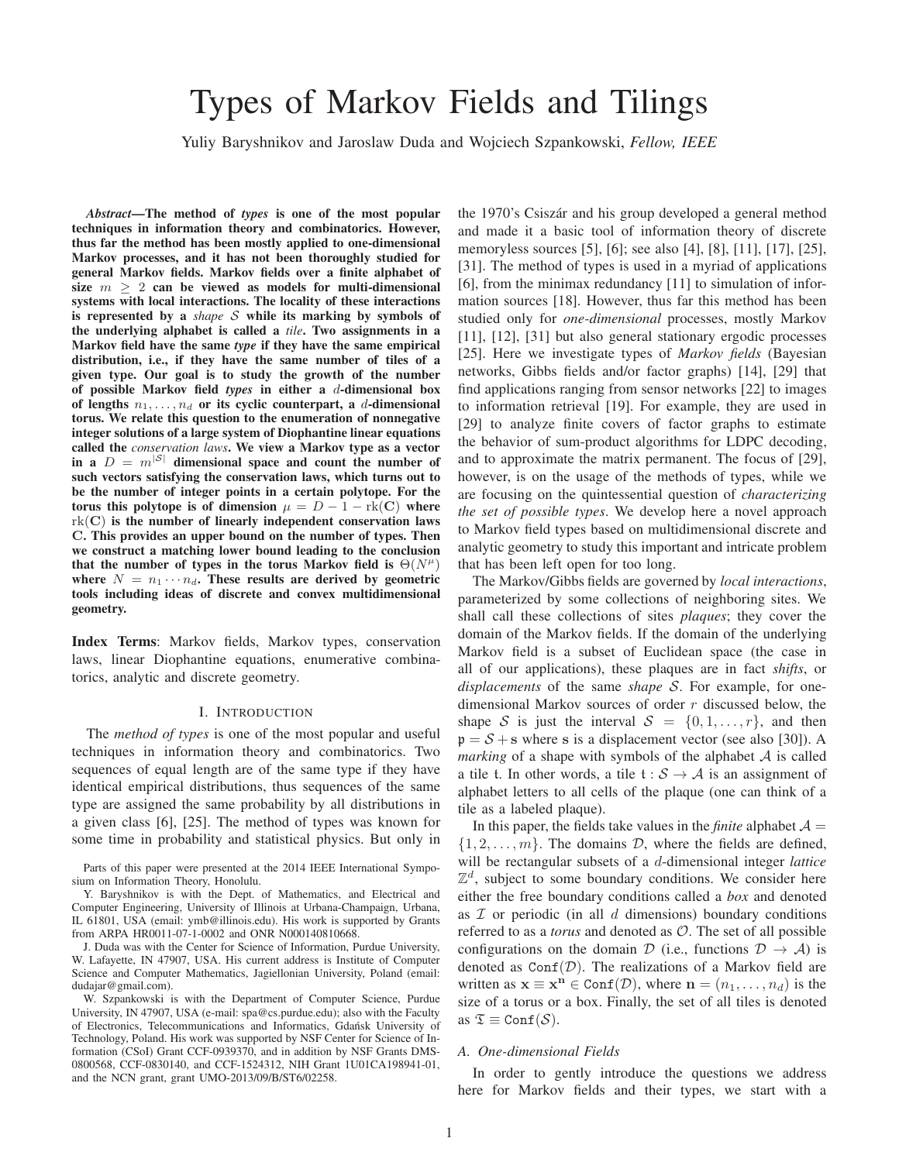# Types of Markov Fields and Tilings

Yuliy Baryshnikov and Jaroslaw Duda and Wojciech Szpankowski, *Fellow, IEEE*

*Abstract*—The method of *types* is one of the most popular techniques in information theory and combinatorics. However, thus far the method has been mostly applied to one-dimensional Markov processes, and it has not been thoroughly studied for general Markov fields. Markov fields over a finite alphabet of size  $m > 2$  can be viewed as models for multi-dimensional systems with local interactions. The locality of these interactions is represented by a *shape* S while its marking by symbols of the underlying alphabet is called a *tile*. Two assignments in a Markov field have the same *type* if they have the same empirical distribution, i.e., if they have the same number of tiles of a given type. Our goal is to study the growth of the number of possible Markov field *types* in either a d-dimensional box of lengths  $n_1, \ldots, n_d$  or its cyclic counterpart, a d-dimensional torus. We relate this question to the enumeration of nonnegative integer solutions of a large system of Diophantine linear equations called the *conservation laws*. We view a Markov type as a vector in a  $D = m^{|S|}$  dimensional space and count the number of such vectors satisfying the conservation laws, which turns out to be the number of integer points in a certain polytope. For the torus this polytope is of dimension  $\mu = D - 1 - \text{rk}(C)$  where  $rk(C)$  is the number of linearly independent conservation laws C. This provides an upper bound on the number of types. Then we construct a matching lower bound leading to the conclusion that the number of types in the torus Markov field is  $\Theta(N^{\mu})$ where  $N = n_1 \cdots n_d$ . These results are derived by geometric tools including ideas of discrete and convex multidimensional geometry.

Index Terms: Markov fields, Markov types, conservation laws, linear Diophantine equations, enumerative combinatorics, analytic and discrete geometry.

# I. INTRODUCTION

The *method of types* is one of the most popular and useful techniques in information theory and combinatorics. Two sequences of equal length are of the same type if they have identical empirical distributions, thus sequences of the same type are assigned the same probability by all distributions in a given class [6], [25]. The method of types was known for some time in probability and statistical physics. But only in

Parts of this paper were presented at the 2014 IEEE International Symposium on Information Theory, Honolulu.

Y. Baryshnikov is with the Dept. of Mathematics, and Electrical and Computer Engineering, University of Illinois at Urbana-Champaign, Urbana, IL 61801, USA (email: ymb@illinois.edu). His work is supported by Grants from ARPA HR0011-07-1-0002 and ONR N000140810668.

J. Duda was with the Center for Science of Information, Purdue University, W. Lafayette, IN 47907, USA. His current address is Institute of Computer Science and Computer Mathematics, Jagiellonian University, Poland (email: dudajar@gmail.com).

W. Szpankowski is with the Department of Computer Science, Purdue University, IN 47907, USA (e-mail: spa@cs.purdue.edu); also with the Faculty of Electronics, Telecommunications and Informatics, Gdańsk University of Technology, Poland. His work was supported by NSF Center for Science of Information (CSoI) Grant CCF-0939370, and in addition by NSF Grants DMS-0800568, CCF-0830140, and CCF-1524312, NIH Grant 1U01CA198941-01, and the NCN grant, grant UMO-2013/09/B/ST6/02258.

the 1970's Csiszár and his group developed a general method and made it a basic tool of information theory of discrete memoryless sources [5], [6]; see also [4], [8], [11], [17], [25], [31]. The method of types is used in a myriad of applications [6], from the minimax redundancy [11] to simulation of information sources [18]. However, thus far this method has been studied only for *one-dimensional* processes, mostly Markov [11], [12], [31] but also general stationary ergodic processes [25]. Here we investigate types of *Markov fields* (Bayesian networks, Gibbs fields and/or factor graphs) [14], [29] that find applications ranging from sensor networks [22] to images to information retrieval [19]. For example, they are used in [29] to analyze finite covers of factor graphs to estimate the behavior of sum-product algorithms for LDPC decoding, and to approximate the matrix permanent. The focus of [29], however, is on the usage of the methods of types, while we are focusing on the quintessential question of *characterizing the set of possible types*. We develop here a novel approach to Markov field types based on multidimensional discrete and analytic geometry to study this important and intricate problem that has been left open for too long.

The Markov/Gibbs fields are governed by *local interactions*, parameterized by some collections of neighboring sites. We shall call these collections of sites *plaques*; they cover the domain of the Markov fields. If the domain of the underlying Markov field is a subset of Euclidean space (the case in all of our applications), these plaques are in fact *shifts*, or *displacements* of the same *shape* S. For example, for onedimensional Markov sources of order r discussed below, the shape S is just the interval  $S = \{0, 1, \ldots, r\}$ , and then  $p = S + s$  where s is a displacement vector (see also [30]). A *marking* of a shape with symbols of the alphabet A is called a tile t. In other words, a tile  $t : S \rightarrow A$  is an assignment of alphabet letters to all cells of the plaque (one can think of a tile as a labeled plaque).

In this paper, the fields take values in the *finite* alphabet  $A =$  $\{1, 2, \ldots, m\}$ . The domains D, where the fields are defined, will be rectangular subsets of a d-dimensional integer *lattice*  $\mathbb{Z}^d$ , subject to some boundary conditions. We consider here either the free boundary conditions called a *box* and denoted as  $\mathcal I$  or periodic (in all  $d$  dimensions) boundary conditions referred to as a *torus* and denoted as O. The set of all possible configurations on the domain D (i.e., functions  $D \rightarrow A$ ) is denoted as  $Conf(\mathcal{D})$ . The realizations of a Markov field are written as  $\mathbf{x} \equiv \mathbf{x}^{\mathbf{n}} \in \text{Conf}(\mathcal{D})$ , where  $\mathbf{n} = (n_1, \dots, n_d)$  is the size of a torus or a box. Finally, the set of all tiles is denoted as  $\mathfrak{T} \equiv \text{Conf}(\mathcal{S})$ .

#### *A. One-dimensional Fields*

In order to gently introduce the questions we address here for Markov fields and their types, we start with a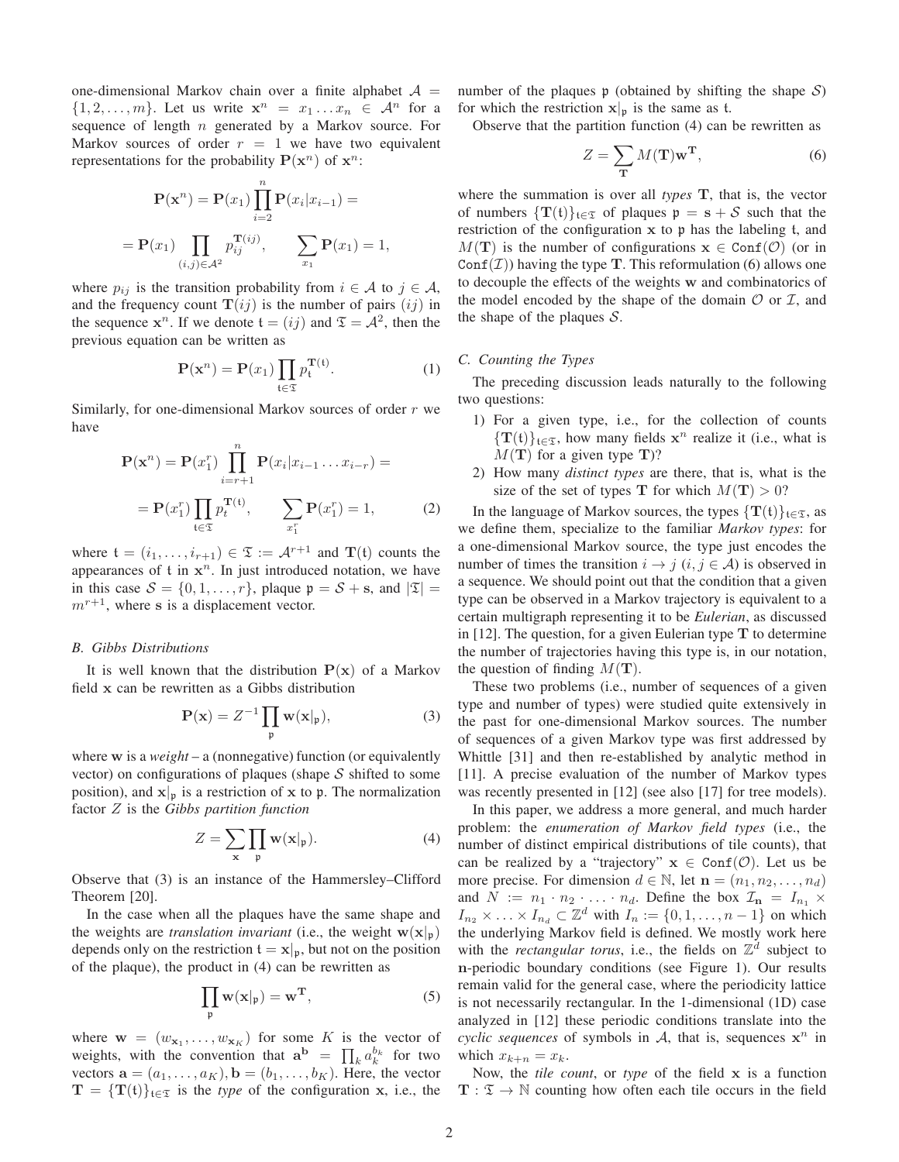one-dimensional Markov chain over a finite alphabet  $A =$  $\{1, 2, \ldots, m\}$ . Let us write  $\mathbf{x}^n = x_1 \ldots x_n \in \mathcal{A}^n$  for a sequence of length  $n$  generated by a Markov source. For Markov sources of order  $r = 1$  we have two equivalent representations for the probability  $P(\mathbf{x}^n)$  of  $\mathbf{x}^n$ :

$$
\mathbf{P}(\mathbf{x}^n) = \mathbf{P}(x_1) \prod_{i=2}^n \mathbf{P}(x_i | x_{i-1}) =
$$
  
=  $\mathbf{P}(x_1) \prod_{(i,j) \in \mathcal{A}^2} p_{ij}^{\mathbf{T}(ij)}, \qquad \sum_{x_1} \mathbf{P}(x_1) = 1,$ 

where  $p_{ij}$  is the transition probability from  $i \in \mathcal{A}$  to  $j \in \mathcal{A}$ , and the frequency count  $\mathbf{T}(ij)$  is the number of pairs  $(ij)$  in the sequence  $x^n$ . If we denote  $t = (ij)$  and  $\mathfrak{T} = \mathcal{A}^2$ , then the previous equation can be written as

$$
\mathbf{P}(\mathbf{x}^n) = \mathbf{P}(x_1) \prod_{\mathfrak{t} \in \mathfrak{T}} p_{\mathfrak{t}}^{\mathbf{T}(\mathfrak{t})}.
$$
 (1)

Similarly, for one-dimensional Markov sources of order  $r$  we have

$$
\mathbf{P}(\mathbf{x}^{n}) = \mathbf{P}(x_{1}^{r}) \prod_{i=r+1}^{n} \mathbf{P}(x_{i}|x_{i-1}...x_{i-r}) =
$$

$$
= \mathbf{P}(x_{1}^{r}) \prod_{t \in \mathfrak{T}} p_{t}^{\mathbf{T}^{(t)}}, \qquad \sum_{x_{1}^{r}} \mathbf{P}(x_{1}^{r}) = 1, \tag{2}
$$

where  $\mathfrak{t} = (i_1, \ldots, i_{r+1}) \in \mathfrak{T} := \mathcal{A}^{r+1}$  and  $\mathbf{T}(\mathfrak{t})$  counts the appearances of  $t$  in  $x^n$ . In just introduced notation, we have in this case  $S = \{0, 1, \ldots, r\}$ , plaque  $\mathfrak{p} = S + \mathfrak{s}$ , and  $|\mathfrak{T}| =$  $m^{r+1}$ , where s is a displacement vector.

#### *B. Gibbs Distributions*

It is well known that the distribution  $P(x)$  of a Markov field x can be rewritten as a Gibbs distribution

$$
\mathbf{P}(\mathbf{x}) = Z^{-1} \prod_{\mathfrak{p}} \mathbf{w}(\mathbf{x} | \mathfrak{p}),\tag{3}
$$

where w is a *weight* – a (nonnegative) function (or equivalently vector) on configurations of plaques (shape  $S$  shifted to some position), and  $x|_p$  is a restriction of x to p. The normalization factor Z is the *Gibbs partition function*

$$
Z = \sum_{\mathbf{x}} \prod_{\mathfrak{p}} \mathbf{w}(\mathbf{x}|_{\mathfrak{p}}).
$$
 (4)

Observe that (3) is an instance of the Hammersley–Clifford Theorem [20].

In the case when all the plaques have the same shape and the weights are *translation invariant* (i.e., the weight  $w(x|p)$ ) depends only on the restriction  $t = x|_{p}$ , but not on the position of the plaque), the product in (4) can be rewritten as

$$
\prod_{\mathfrak{p}} w(x|_{\mathfrak{p}}) = w^{\mathbf{T}},\tag{5}
$$

where  $\mathbf{w} = (w_{\mathbf{x}_1}, \dots, w_{\mathbf{x}_K})$  for some K is the vector of weights, with the convention that  $\mathbf{a}^{\mathbf{b}} = \prod_{k} a_{k}^{b_{k}}$  for two vectors  $\mathbf{a} = (a_1, \dots, a_K)$ ,  $\mathbf{b} = (b_1, \dots, b_K)$ . Here, the vector  $T = {T(t)}_{t \in \mathcal{I}}$  is the *type* of the configuration x, i.e., the number of the plaques  $\mathfrak p$  (obtained by shifting the shape  $\mathcal S$ ) for which the restriction  $x|_p$  is the same as t.

Observe that the partition function (4) can be rewritten as

$$
Z = \sum_{\mathbf{T}} M(\mathbf{T}) \mathbf{w}^{\mathbf{T}},\tag{6}
$$

where the summation is over all *types* T, that is, the vector of numbers  $\{T(t)\}_{t\in\mathcal{I}}$  of plaques  $p = s + S$  such that the restriction of the configuration x to p has the labeling t, and  $M(T)$  is the number of configurations  $x \in \text{Conf}(\mathcal{O})$  (or in  $\text{Conf}(\mathcal{I})$ ) having the type **T**. This reformulation (6) allows one to decouple the effects of the weights w and combinatorics of the model encoded by the shape of the domain  $\mathcal O$  or  $\mathcal I$ , and the shape of the plaques  $S$ .

# *C. Counting the Types*

The preceding discussion leads naturally to the following two questions:

- 1) For a given type, i.e., for the collection of counts  $\{T(t)\}_{t\in\mathcal{I}}$ , how many fields  $x^n$  realize it (i.e., what is  $M(T)$  for a given type T)?
- 2) How many *distinct types* are there, that is, what is the size of the set of types **T** for which  $M(T) > 0$ ?

In the language of Markov sources, the types  $\{T(t)\}_{t\in\mathcal{I}}$ , as we define them, specialize to the familiar *Markov types*: for a one-dimensional Markov source, the type just encodes the number of times the transition  $i \rightarrow j$   $(i, j \in A)$  is observed in a sequence. We should point out that the condition that a given type can be observed in a Markov trajectory is equivalent to a certain multigraph representing it to be *Eulerian*, as discussed in  $[12]$ . The question, for a given Eulerian type  $T$  to determine the number of trajectories having this type is, in our notation, the question of finding  $M(\mathbf{T})$ .

These two problems (i.e., number of sequences of a given type and number of types) were studied quite extensively in the past for one-dimensional Markov sources. The number of sequences of a given Markov type was first addressed by Whittle [31] and then re-established by analytic method in [11]. A precise evaluation of the number of Markov types was recently presented in [12] (see also [17] for tree models).

In this paper, we address a more general, and much harder problem: the *enumeration of Markov field types* (i.e., the number of distinct empirical distributions of tile counts), that can be realized by a "trajectory"  $x \in \text{Conf}(\mathcal{O})$ . Let us be more precise. For dimension  $d \in \mathbb{N}$ , let  $\mathbf{n} = (n_1, n_2, \dots, n_d)$ and  $N := n_1 \cdot n_2 \cdot \ldots \cdot n_d$ . Define the box  $\mathcal{I}_n = I_{n_1} \times$  $I_{n_2} \times \ldots \times I_{n_d} \subset \mathbb{Z}^d$  with  $I_n := \{0, 1, \ldots, n-1\}$  on which the underlying Markov field is defined. We mostly work here with the *rectangular torus*, i.e., the fields on  $\mathbb{Z}^d$  subject to n-periodic boundary conditions (see Figure 1). Our results remain valid for the general case, where the periodicity lattice is not necessarily rectangular. In the 1-dimensional (1D) case analyzed in [12] these periodic conditions translate into the *cyclic sequences* of symbols in  $A$ , that is, sequences  $x^n$  in which  $x_{k+n} = x_k$ .

Now, the *tile count*, or *type* of the field x is a function  $T : \mathfrak{T} \to \mathbb{N}$  counting how often each tile occurs in the field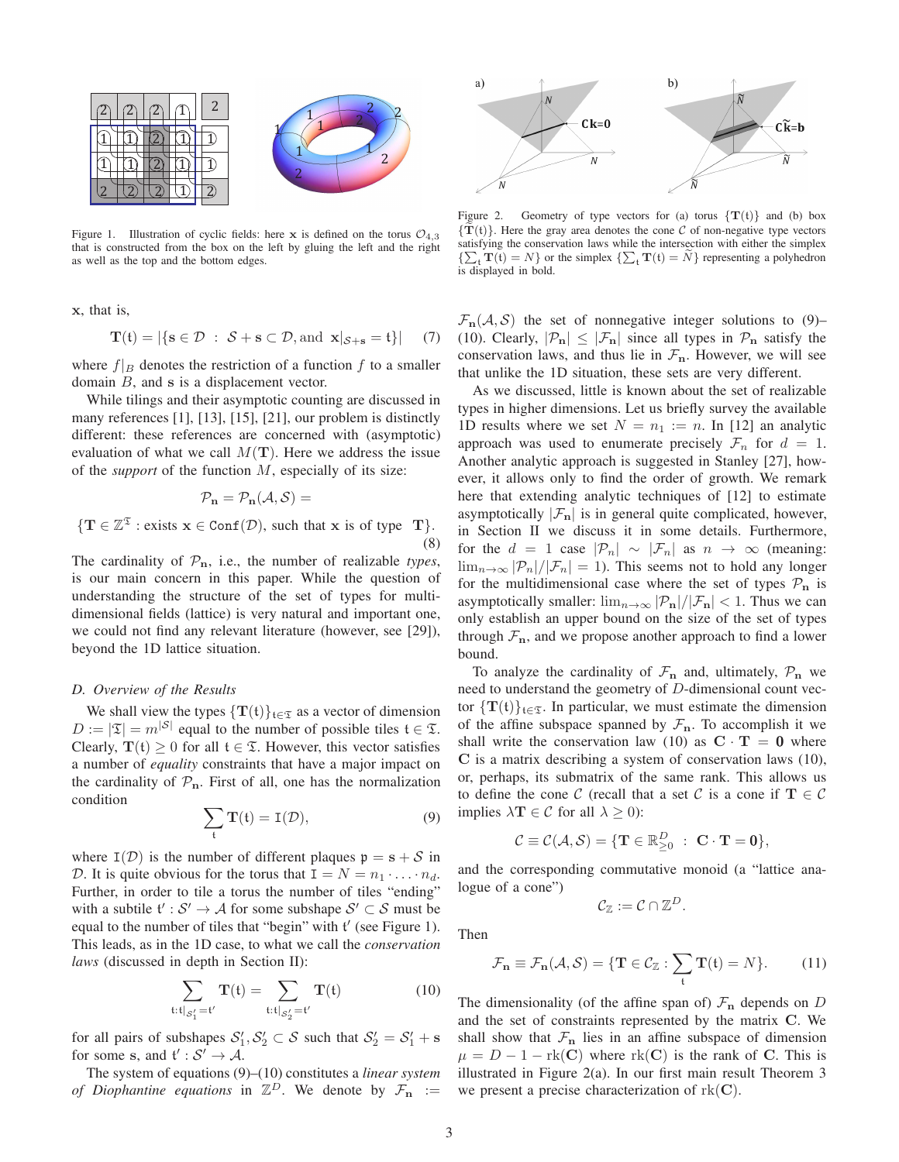

Figure 1. Illustration of cyclic fields: here x is defined on the torus  $\mathcal{O}_{4,3}$ that is constructed from the box on the left by gluing the left and the right as well as the top and the bottom edges.

x, that is,

 $\{T\}$ 

$$
\mathbf{T}(t)=|\{\mathbf{s}\in\mathcal{D}\ :\ \mathcal{S}+\mathbf{s}\subset\mathcal{D},\mathrm{and}\ \mathbf{x}|_{\mathcal{S}+\mathbf{s}}=t\}| \quad \ \ (7)
$$

where  $f|_B$  denotes the restriction of a function f to a smaller domain B, and s is a displacement vector.

While tilings and their asymptotic counting are discussed in many references [1], [13], [15], [21], our problem is distinctly different: these references are concerned with (asymptotic) evaluation of what we call  $M(T)$ . Here we address the issue of the *support* of the function M, especially of its size:

$$
\mathcal{P}_{\mathbf{n}} = \mathcal{P}_{\mathbf{n}}(\mathcal{A}, \mathcal{S}) =
$$
  

$$
\in \mathbb{Z}^{\mathfrak{T}} : \text{exists } \mathbf{x} \in \text{Conf}(\mathcal{D}), \text{ such that } \mathbf{x} \text{ is of type } \mathbf{T} \}. \tag{8}
$$

The cardinality of  $\mathcal{P}_n$ , i.e., the number of realizable *types*, is our main concern in this paper. While the question of understanding the structure of the set of types for multidimensional fields (lattice) is very natural and important one, we could not find any relevant literature (however, see [29]), beyond the 1D lattice situation.

#### *D. Overview of the Results*

We shall view the types  $\{T(t)\}_{t\in\mathfrak{T}}$  as a vector of dimension  $D := |\mathfrak{T}| = m^{|\mathcal{S}|}$  equal to the number of possible tiles  $\mathfrak{t} \in \mathfrak{T}$ . Clearly,  $T(t) > 0$  for all  $t \in \mathcal{I}$ . However, this vector satisfies a number of *equality* constraints that have a major impact on the cardinality of  $P_n$ . First of all, one has the normalization condition

$$
\sum_{t} T(t) = I(\mathcal{D}),\tag{9}
$$

where  $I(\mathcal{D})$  is the number of different plaques  $p = s + S$  in D. It is quite obvious for the torus that  $I = N = n_1 \cdot \ldots \cdot n_d$ . Further, in order to tile a torus the number of tiles "ending" with a subtile  $\mathfrak{t}': \mathcal{S}' \to \mathcal{A}$  for some subshape  $\mathcal{S}' \subset \mathcal{S}$  must be equal to the number of tiles that "begin" with  $t'$  (see Figure 1). This leads, as in the 1D case, to what we call the *conservation laws* (discussed in depth in Section II):

$$
\sum_{\mathfrak{t}: \mathfrak{t}|_{\mathcal{S}'_1}=\mathfrak{t}'} \mathbf{T}(\mathfrak{t}) = \sum_{\mathfrak{t}: \mathfrak{t}|_{\mathcal{S}'_2}=\mathfrak{t}'} \mathbf{T}(\mathfrak{t})
$$
(10)

for all pairs of subshapes  $S'_1, S'_2 \subset S$  such that  $S'_2 = S'_1 + s$ for some s, and  $f': S' \to A$ .

The system of equations (9)–(10) constitutes a *linear system of Diophantine equations* in  $\mathbb{Z}^D$ . We denote by  $\mathcal{F}_n$  :=



Figure 2. Geometry of type vectors for (a) torus  $\{T(t)\}\$ and (b) box  ${T(t)}$ . Here the gray area denotes the cone C of non-negative type vectors satisfying the conservation laws while the intersection with either the simplex  ${\sum_{t} \mathbf{T}(t) = N}$  or the simplex  ${\sum_{t} \mathbf{T}(t) = \tilde{N}}$  representing a polyhedron is displayed in bold.

 $\mathcal{F}_n(\mathcal{A}, \mathcal{S})$  the set of nonnegative integer solutions to (9)– (10). Clearly,  $|\mathcal{P}_n| \leq |\mathcal{F}_n|$  since all types in  $\mathcal{P}_n$  satisfy the conservation laws, and thus lie in  $\mathcal{F}_n$ . However, we will see that unlike the 1D situation, these sets are very different.

As we discussed, little is known about the set of realizable types in higher dimensions. Let us briefly survey the available 1D results where we set  $N = n_1 := n$ . In [12] an analytic approach was used to enumerate precisely  $\mathcal{F}_n$  for  $d = 1$ . Another analytic approach is suggested in Stanley [27], however, it allows only to find the order of growth. We remark here that extending analytic techniques of [12] to estimate asymptotically  $|\mathcal{F}_n|$  is in general quite complicated, however, in Section II we discuss it in some details. Furthermore, for the  $d = 1$  case  $|\mathcal{P}_n| \sim |\mathcal{F}_n|$  as  $n \to \infty$  (meaning:  $\lim_{n\to\infty}$   $\left|\mathcal{P}_n\right|/\left|\mathcal{F}_n\right| = 1$ . This seems not to hold any longer for the multidimensional case where the set of types  $P_n$  is asymptotically smaller:  $\lim_{n\to\infty}$   $\left|\mathcal{P}_{n}\right|/\left|\mathcal{F}_{n}\right| < 1$ . Thus we can only establish an upper bound on the size of the set of types through  $\mathcal{F}_n$ , and we propose another approach to find a lower bound.

To analyze the cardinality of  $\mathcal{F}_n$  and, ultimately,  $\mathcal{P}_n$  we need to understand the geometry of D-dimensional count vector  $\{T(t)\}_{t\in\mathcal{I}}$ . In particular, we must estimate the dimension of the affine subspace spanned by  $\mathcal{F}_n$ . To accomplish it we shall write the conservation law (10) as  $C \cdot T = 0$  where C is a matrix describing a system of conservation laws (10), or, perhaps, its submatrix of the same rank. This allows us to define the cone C (recall that a set C is a cone if  $\mathbf{T} \in \mathcal{C}$ implies  $\lambda \mathbf{T} \in \mathcal{C}$  for all  $\lambda \geq 0$ ):

$$
\mathcal{C}\equiv\mathcal{C}(\mathcal{A},\mathcal{S})=\{\mathbf{T}\in\mathbb{R}^D_{\geq 0}\ :\ \mathbf{C}\cdot\mathbf{T}=\mathbf{0}\},
$$

and the corresponding commutative monoid (a "lattice analogue of a cone")

$$
\mathcal{C}_{\mathbb{Z}} := \mathcal{C} \cap \mathbb{Z}^D.
$$

Then

$$
\mathcal{F}_{\mathbf{n}} \equiv \mathcal{F}_{\mathbf{n}}(\mathcal{A}, \mathcal{S}) = \{ \mathbf{T} \in \mathcal{C}_{\mathbb{Z}} : \sum_{\mathfrak{t}} \mathbf{T}(\mathfrak{t}) = N \}. \tag{11}
$$

The dimensionality (of the affine span of)  $\mathcal{F}_n$  depends on D and the set of constraints represented by the matrix C. We shall show that  $\mathcal{F}_n$  lies in an affine subspace of dimension  $\mu = D - 1 - \text{rk}(C)$  where  $\text{rk}(C)$  is the rank of C. This is illustrated in Figure 2(a). In our first main result Theorem 3 we present a precise characterization of  $rk(C)$ .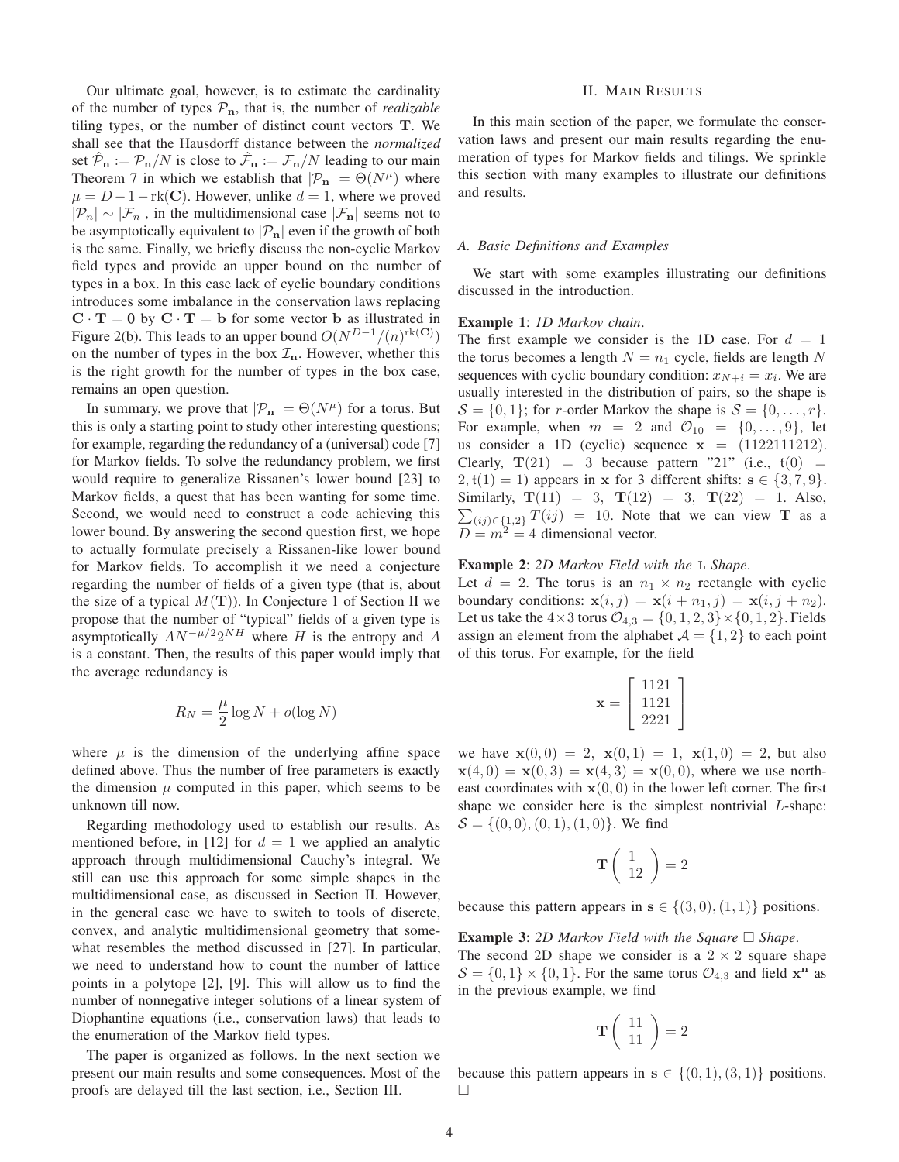Our ultimate goal, however, is to estimate the cardinality of the number of types  $P_n$ , that is, the number of *realizable* tiling types, or the number of distinct count vectors T. We shall see that the Hausdorff distance between the *normalized* set  $\hat{\mathcal{P}}_{n} := \mathcal{P}_{n}/N$  is close to  $\hat{\mathcal{F}}_{n} := \mathcal{F}_{n}/N$  leading to our main Theorem 7 in which we establish that  $|\mathcal{P}_{n}| = \Theta(N^{\mu})$  where  $\mu = D - 1 - \text{rk}(C)$ . However, unlike  $d = 1$ , where we proved  $|\mathcal{P}_n| \sim |\mathcal{F}_n|$ , in the multidimensional case  $|\mathcal{F}_n|$  seems not to be asymptotically equivalent to  $|\mathcal{P}_n|$  even if the growth of both is the same. Finally, we briefly discuss the non-cyclic Markov field types and provide an upper bound on the number of types in a box. In this case lack of cyclic boundary conditions introduces some imbalance in the conservation laws replacing  $C \cdot T = 0$  by  $C \cdot T = b$  for some vector b as illustrated in Figure 2(b). This leads to an upper bound  $O(N^{D-1}/(n)^{\text{rk}(\mathbf{C})})$ on the number of types in the box  $\mathcal{I}_n$ . However, whether this is the right growth for the number of types in the box case, remains an open question.

In summary, we prove that  $|\mathcal{P}_n| = \Theta(N^{\mu})$  for a torus. But this is only a starting point to study other interesting questions; for example, regarding the redundancy of a (universal) code [7] for Markov fields. To solve the redundancy problem, we first would require to generalize Rissanen's lower bound [23] to Markov fields, a quest that has been wanting for some time. Second, we would need to construct a code achieving this lower bound. By answering the second question first, we hope to actually formulate precisely a Rissanen-like lower bound for Markov fields. To accomplish it we need a conjecture regarding the number of fields of a given type (that is, about the size of a typical  $M(T)$ ). In Conjecture 1 of Section II we propose that the number of "typical" fields of a given type is asymptotically  $AN^{-\mu/2}2^{NH}$  where H is the entropy and A is a constant. Then, the results of this paper would imply that the average redundancy is

$$
R_N = \frac{\mu}{2} \log N + o(\log N)
$$

where  $\mu$  is the dimension of the underlying affine space defined above. Thus the number of free parameters is exactly the dimension  $\mu$  computed in this paper, which seems to be unknown till now.

Regarding methodology used to establish our results. As mentioned before, in [12] for  $d = 1$  we applied an analytic approach through multidimensional Cauchy's integral. We still can use this approach for some simple shapes in the multidimensional case, as discussed in Section II. However, in the general case we have to switch to tools of discrete, convex, and analytic multidimensional geometry that somewhat resembles the method discussed in [27]. In particular, we need to understand how to count the number of lattice points in a polytope [2], [9]. This will allow us to find the number of nonnegative integer solutions of a linear system of Diophantine equations (i.e., conservation laws) that leads to the enumeration of the Markov field types.

The paper is organized as follows. In the next section we present our main results and some consequences. Most of the proofs are delayed till the last section, i.e., Section III.

#### II. MAIN RESULTS

In this main section of the paper, we formulate the conservation laws and present our main results regarding the enumeration of types for Markov fields and tilings. We sprinkle this section with many examples to illustrate our definitions and results.

#### *A. Basic Definitions and Examples*

We start with some examples illustrating our definitions discussed in the introduction.

# Example 1: *1D Markov chain*.

The first example we consider is the 1D case. For  $d = 1$ the torus becomes a length  $N = n_1$  cycle, fields are length N sequences with cyclic boundary condition:  $x_{N+i} = x_i$ . We are usually interested in the distribution of pairs, so the shape is  $S = \{0, 1\}$ ; for *r*-order Markov the shape is  $S = \{0, \ldots, r\}$ . For example, when  $m = 2$  and  $\mathcal{O}_{10} = \{0, \ldots, 9\}$ , let us consider a 1D (cyclic) sequence  $x = (1122111212)$ . Clearly,  $T(21) = 3$  because pattern "21" (i.e.,  $t(0) =$  $2, t(1) = 1$ ) appears in x for 3 different shifts:  $s \in \{3, 7, 9\}.$  $\sum_{(ij) \in \{1,2\}} T(ij) = 10$ . Note that we can view **T** as a Similarly,  $T(11) = 3$ ,  $T(12) = 3$ ,  $T(22) = 1$ . Also,  $D = m^2 = 4$  dimensional vector.

# Example 2: *2D Markov Field with the* L *Shape*.

Let  $d = 2$ . The torus is an  $n_1 \times n_2$  rectangle with cyclic boundary conditions:  $\mathbf{x}(i, j) = \mathbf{x}(i + n_1, j) = \mathbf{x}(i, j + n_2)$ . Let us take the  $4\times3$  torus  $\mathcal{O}_{4,3} = \{0,1,2,3\} \times \{0,1,2\}$ . Fields assign an element from the alphabet  $A = \{1, 2\}$  to each point of this torus. For example, for the field

$$
\mathbf{x} = \begin{bmatrix} 1121 \\ 1121 \\ 2221 \end{bmatrix}
$$

we have  $\mathbf{x}(0,0) = 2$ ,  $\mathbf{x}(0,1) = 1$ ,  $\mathbf{x}(1,0) = 2$ , but also  $\mathbf{x}(4,0) = \mathbf{x}(0,3) = \mathbf{x}(4,3) = \mathbf{x}(0,0)$ , where we use northeast coordinates with  $x(0, 0)$  in the lower left corner. The first shape we consider here is the simplest nontrivial  $L$ -shape:  $S = \{(0, 0), (0, 1), (1, 0)\}.$  We find

$$
\mathbf{T}\left(\begin{array}{c}1\\12\end{array}\right)=2
$$

because this pattern appears in  $s \in \{(3,0), (1,1)\}$  positions.

**Example 3:** 2D Markov Field with the Square  $\Box$  Shape.

The second 2D shape we consider is a  $2 \times 2$  square shape  $S = \{0, 1\} \times \{0, 1\}$ . For the same torus  $\mathcal{O}_{4,3}$  and field  $\mathbf{x}^{\mathbf{n}}$  as in the previous example, we find

$$
\mathbf{T}\left(\begin{array}{c}11\\11\end{array}\right)=2
$$

because this pattern appears in  $s \in \{(0,1), (3, 1)\}\$  positions.  $\Box$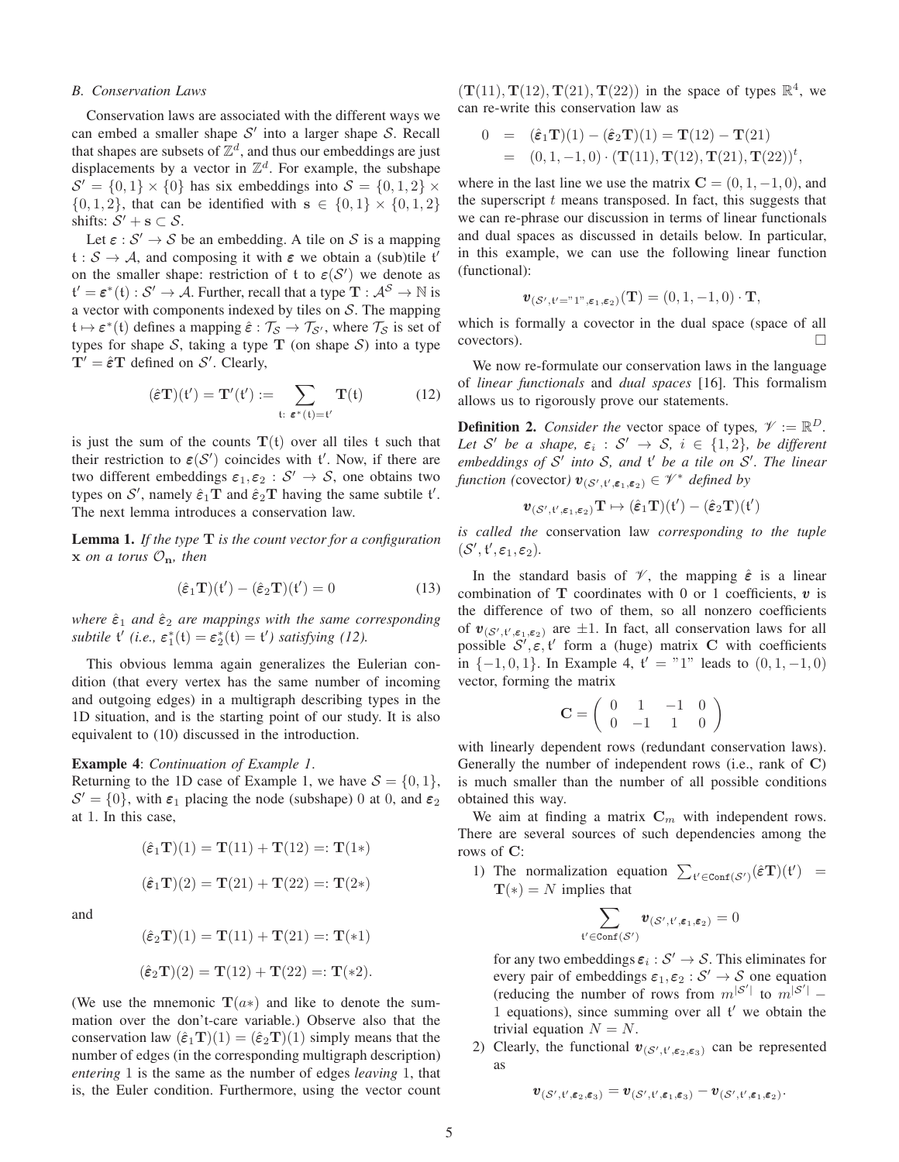#### *B. Conservation Laws*

Conservation laws are associated with the different ways we can embed a smaller shape  $S'$  into a larger shape  $S$ . Recall that shapes are subsets of  $\mathbb{Z}^d$ , and thus our embeddings are just displacements by a vector in  $\mathbb{Z}^d$ . For example, the subshape  $\mathcal{S}' = \{0, 1\} \times \{0\}$  has six embeddings into  $\mathcal{S} = \{0, 1, 2\} \times$  $\{0, 1, 2\}$ , that can be identified with  $s \in \{0, 1\} \times \{0, 1, 2\}$ shifts:  $S' + s \subset S$ .

Let  $\varepsilon$  :  $S' \to S$  be an embedding. A tile on S is a mapping  $t : S \to A$ , and composing it with  $\varepsilon$  we obtain a (sub)tile t' on the smaller shape: restriction of t to  $\varepsilon(S')$  we denote as  $\mathfrak{t}'=\boldsymbol{\varepsilon}^*(\mathfrak{t}): \mathcal{S}'\to \mathcal{A}.$  Further, recall that a type  $\mathbf{T}:\mathcal{A}^{\mathcal{S}}\to \mathbb{N}$  is a vector with components indexed by tiles on  $S$ . The mapping  $\mathfrak{t} \mapsto \varepsilon^*(\mathfrak{t})$  defines a mapping  $\hat{\varepsilon}: \mathcal{T}_{\mathcal{S}} \to \mathcal{T}_{\mathcal{S}'},$  where  $\mathcal{T}_{\mathcal{S}}$  is set of types for shape S, taking a type  $T$  (on shape S) into a type  $T' = \hat{\varepsilon} T$  defined on S'. Clearly,

$$
(\hat{\varepsilon}\mathbf{T})(t') = \mathbf{T}'(t') := \sum_{t: \ \varepsilon^*(t) = t'} \mathbf{T}(t) \tag{12}
$$

is just the sum of the counts  $T(t)$  over all tiles t such that their restriction to  $\varepsilon(S')$  coincides with  $t'$ . Now, if there are two different embeddings  $\varepsilon_1, \varepsilon_2 : S' \to S$ , one obtains two types on S', namely  $\hat{\epsilon}_1$ **T** and  $\hat{\epsilon}_2$ **T** having the same subtile t'. The next lemma introduces a conservation law.

Lemma 1. *If the type* T *is the count vector for a configuration*  $x$  *on a torus*  $\mathcal{O}_n$ *, then* 

$$
(\hat{\boldsymbol{\varepsilon}}_1 \mathbf{T})(\mathfrak{t}') - (\hat{\boldsymbol{\varepsilon}}_2 \mathbf{T})(\mathfrak{t}') = 0 \tag{13}
$$

*where*  $\hat{\epsilon}_1$  *and*  $\hat{\epsilon}_2$  *are mappings with the same corresponding subtile*  $f'(i.e., \varepsilon_1^*(t) = \varepsilon_2^*(t) = f'$ *) satisfying (12).* 

This obvious lemma again generalizes the Eulerian condition (that every vertex has the same number of incoming and outgoing edges) in a multigraph describing types in the 1D situation, and is the starting point of our study. It is also equivalent to (10) discussed in the introduction.

#### Example 4: *Continuation of Example 1*.

Returning to the 1D case of Example 1, we have  $S = \{0, 1\}$ ,  $S' = \{0\}$ , with  $\varepsilon_1$  placing the node (subshape) 0 at 0, and  $\varepsilon_2$ at 1. In this case,

$$
(\hat{\varepsilon}_1 \mathbf{T})(1) = \mathbf{T}(11) + \mathbf{T}(12) =: \mathbf{T}(1*)
$$

$$
(\hat{\varepsilon}_1 \mathbf{T})(2) = \mathbf{T}(21) + \mathbf{T}(22) =: \mathbf{T}(2*)
$$

and

$$
(\hat{\epsilon}_2 \mathbf{T})(1) = \mathbf{T}(11) + \mathbf{T}(21) =: \mathbf{T}(*1)
$$

$$
(\hat{\epsilon}_2 \mathbf{T})(2) = \mathbf{T}(12) + \mathbf{T}(22) =: \mathbf{T}(*2).
$$

(We use the mnemonic  $\mathbf{T}(a*)$  and like to denote the summation over the don't-care variable.) Observe also that the conservation law  $(\hat{\epsilon}_1 \mathbf{T})(1) = (\hat{\epsilon}_2 \mathbf{T})(1)$  simply means that the number of edges (in the corresponding multigraph description) *entering* 1 is the same as the number of edges *leaving* 1, that is, the Euler condition. Furthermore, using the vector count

 $(T(11), T(12), T(21), T(22))$  in the space of types  $\mathbb{R}^4$ , we can re-write this conservation law as

$$
0 = (\hat{\epsilon}_1 \mathbf{T})(1) - (\hat{\epsilon}_2 \mathbf{T})(1) = \mathbf{T}(12) - \mathbf{T}(21)
$$
  
= (0, 1, -1, 0) \cdot (\mathbf{T}(11), \mathbf{T}(12), \mathbf{T}(21), \mathbf{T}(22))^t,

where in the last line we use the matrix  $C = (0, 1, -1, 0)$ , and the superscript  $t$  means transposed. In fact, this suggests that we can re-phrase our discussion in terms of linear functionals and dual spaces as discussed in details below. In particular, in this example, we can use the following linear function (functional):

$$
\boldsymbol{v}_{(\mathcal{S}',\mathfrak{t}'=\text{``1''},\boldsymbol{\varepsilon}_1,\boldsymbol{\varepsilon}_2)}(\mathbf{T})=(0,1,-1,0)\cdot\mathbf{T},
$$

which is formally a covector in the dual space (space of all covectors).

We now re-formulate our conservation laws in the language of *linear functionals* and *dual spaces* [16]. This formalism allows us to rigorously prove our statements.

**Definition 2.** *Consider the* vector space of types,  $\mathcal{V} := \mathbb{R}^D$ . Let S' be a shape,  $\varepsilon_i : S' \to S$ ,  $i \in \{1,2\}$ , be different *embeddings of* S ′ *into* S*, and* t ′ *be a tile on* S ′ *. The linear function (covector)*  $\mathbf{v}_{(S', t', \epsilon_1, \epsilon_2)} \in \mathcal{V}^*$  *defined by* 

$$
\pmb{v}_{(\mathcal{S}',\mathfrak{t}',\pmb{\varepsilon}_1,\pmb{\varepsilon}_2)}\mathbf{T}\mapsto (\hat{\pmb{\varepsilon}}_1\mathbf{T})(\mathfrak{t}')-(\hat{\pmb{\varepsilon}}_2\mathbf{T})(\mathfrak{t}')
$$

*is called the* conservation law *corresponding to the tuple*  $(\mathcal{S}', \mathfrak{t}', \varepsilon_1, \varepsilon_2)$ .

In the standard basis of  $\mathcal V$ , the mapping  $\hat{\epsilon}$  is a linear combination of  $T$  coordinates with 0 or 1 coefficients,  $v$  is the difference of two of them, so all nonzero coefficients of  $v_{(S', t', \epsilon_1, \epsilon_2)}$  are  $\pm 1$ . In fact, all conservation laws for all possible  $S', \varepsilon, t'$  form a (huge) matrix C with coefficients in  $\{-1, 0, 1\}$ . In Example 4,  $t' = "1"$  leads to  $(0, 1, -1, 0)$ vector, forming the matrix

$$
\mathbf{C} = \left( \begin{array}{cccc} 0 & 1 & -1 & 0 \\ 0 & -1 & 1 & 0 \end{array} \right)
$$

with linearly dependent rows (redundant conservation laws). Generally the number of independent rows (i.e., rank of C) is much smaller than the number of all possible conditions obtained this way.

We aim at finding a matrix  $\mathbf{C}_m$  with independent rows. There are several sources of such dependencies among the rows of C:

1) The normalization equation  $\sum_{t' \in \text{Conf}(S')} (\hat{\epsilon} \mathbf{T})(t') =$  $\mathbf{T}(*) = N$  implies that

$$
\sum_{\mathfrak{t}'\in\mathrm{Conf}(S')} \pmb{v}_{(S',\mathfrak{t}',\varepsilon_1,\varepsilon_2)}=0
$$

for any two embeddings  $\varepsilon_i : \mathcal{S}' \to \mathcal{S}$ . This eliminates for every pair of embeddings  $\varepsilon_1, \varepsilon_2 : \mathcal{S}' \to \mathcal{S}$  one equation (reducing the number of rows from  $m^{\vert S'\vert}$  to  $m^{\vert S'\vert}$  – 1 equations), since summing over all t ′ we obtain the trivial equation  $N = N$ .

2) Clearly, the functional  $\mathbf{v}_{(S',t',\epsilon_2,\epsilon_3)}$  can be represented as

$$
\boldsymbol{v}_{(\mathcal{S}',\mathfrak{t}',\boldsymbol{\varepsilon}_2,\boldsymbol{\varepsilon}_3)} = \boldsymbol{v}_{(\mathcal{S}',\mathfrak{t}',\boldsymbol{\varepsilon}_1,\boldsymbol{\varepsilon}_3)} - \boldsymbol{v}_{(\mathcal{S}',\mathfrak{t}',\boldsymbol{\varepsilon}_1,\boldsymbol{\varepsilon}_2)}.
$$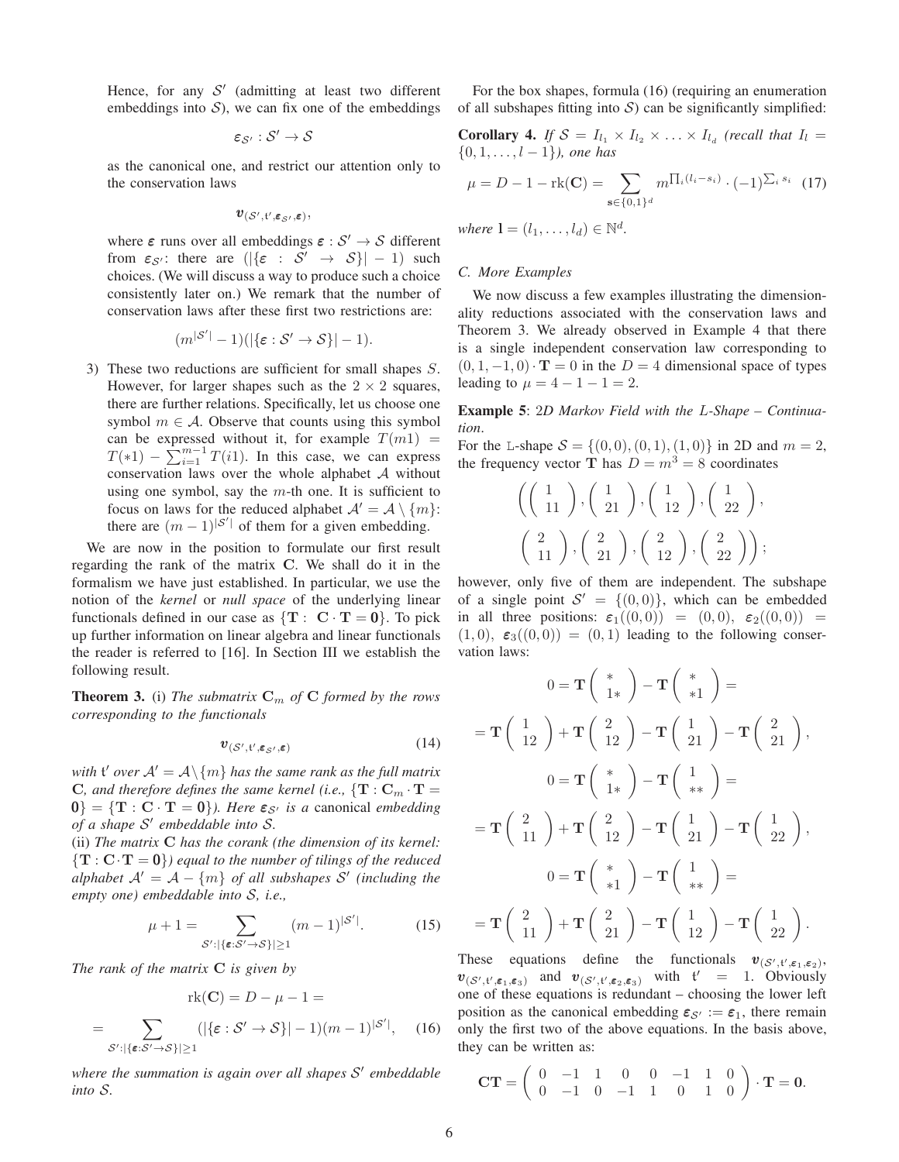Hence, for any  $S'$  (admitting at least two different embeddings into  $S$ ), we can fix one of the embeddings

$$
\bm{\varepsilon}_{\mathcal{S}'}: \mathcal{S}' \rightarrow \mathcal{S}
$$

as the canonical one, and restrict our attention only to the conservation laws

$$
\pmb{v}_{(\mathcal{S}',\mathfrak{t}',\pmb{\varepsilon}_{\mathcal{S}'},\pmb{\varepsilon})},
$$

where  $\varepsilon$  runs over all embeddings  $\varepsilon : \mathcal{S}' \to \mathcal{S}$  different from  $\varepsilon_{\mathcal{S}}$ : there are  $(|\{\varepsilon : \mathcal{S}' \to \mathcal{S}\}| - 1)$  such choices. (We will discuss a way to produce such a choice consistently later on.) We remark that the number of conservation laws after these first two restrictions are:

$$
(m^{|S'|}-1)(|\{\varepsilon : S' \to S\}|-1).
$$

 $(n \geq 1)$ 

3) These two reductions are sufficient for small shapes S. However, for larger shapes such as the  $2 \times 2$  squares, there are further relations. Specifically, let us choose one symbol  $m \in \mathcal{A}$ . Observe that counts using this symbol can be expressed without it, for example  $T(m1)$  =  $T(*1) - \sum_{i=1}^{m-1} T(i1)$ . In this case, we can express conservation laws over the whole alphabet A without using one symbol, say the  $m$ -th one. It is sufficient to focus on laws for the reduced alphabet  $\mathcal{A}' = \mathcal{A} \setminus \{m\}$ : there are  $(m-1)^{|\mathcal{S}'|}$  of them for a given embedding.

We are now in the position to formulate our first result regarding the rank of the matrix C. We shall do it in the formalism we have just established. In particular, we use the notion of the *kernel* or *null space* of the underlying linear functionals defined in our case as  $\{T : C \cdot T = 0\}$ . To pick up further information on linear algebra and linear functionals the reader is referred to [16]. In Section III we establish the following result.

**Theorem 3.** (i) The submatrix  $C_m$  of C formed by the rows *corresponding to the functionals*

$$
\boldsymbol{v}_{(\mathcal{S}',\mathfrak{t}',\varepsilon_{\mathcal{S}},\varepsilon)}\tag{14}
$$

with  $\mathfrak{t}'$  *over*  $\mathcal{A}'=\mathcal{A}\backslash\{m\}$  *has the same rank as the full matrix* C, and therefore defines the same kernel (i.e.,  $\{T: C_m \cdot T =$  $0$ } = {**T** : **C** · **T** = **0**}*). Here*  $\varepsilon_{\mathcal{S}'}$  *is a* canonical *embedding of a shape* S ′ *embeddable into* S*.*

(ii) *The matrix* C *has the corank (the dimension of its kernel:*  ${T : C \cdot T = 0}$  equal to the number of tilings of the reduced  $a$ lphabet  $\mathcal{A}' = \mathcal{A} - \{m\}$  of all subshapes  $\mathcal{S}'$  (including the *empty one) embeddable into* S*, i.e.,*

$$
\mu + 1 = \sum_{\mathcal{S}' : |\{\boldsymbol{\varepsilon} : \mathcal{S}' \to \mathcal{S}\}| \ge 1} (m - 1)^{|\mathcal{S}'|}.
$$
 (15)

*The rank of the matrix* C *is given by*

$$
\operatorname{rk}(\mathbf{C}) = D - \mu - 1 =
$$
  
= 
$$
\sum_{\mathcal{S}': |\{\boldsymbol{\varepsilon}: \mathcal{S}' \to \mathcal{S}\}| \ge 1} (|\{\boldsymbol{\varepsilon}: \mathcal{S}' \to \mathcal{S}\}| - 1)(m - 1)^{|\mathcal{S}'|}, \quad (16)
$$

*where the summation is again over all shapes* S ′ *embeddable into* S*.*

For the box shapes, formula (16) (requiring an enumeration of all subshapes fitting into  $S$ ) can be significantly simplified:

**Corollary 4.** If  $S = I_{l_1} \times I_{l_2} \times \ldots \times I_{l_d}$  (recall that  $I_l =$  $\{0, 1, \ldots, l-1\}$ *), one has* 

$$
\mu = D - 1 - \text{rk}(\mathbf{C}) = \sum_{\mathbf{s} \in \{0, 1\}^d} m^{\prod_i (l_i - s_i)} \cdot (-1)^{\sum_i s_i} \tag{17}
$$

*where*  $\mathbf{l} = (l_1, \ldots, l_d) \in \mathbb{N}^d$ .

# *C. More Examples*

We now discuss a few examples illustrating the dimensionality reductions associated with the conservation laws and Theorem 3. We already observed in Example 4 that there is a single independent conservation law corresponding to  $(0, 1, -1, 0) \cdot T = 0$  in the  $D = 4$  dimensional space of types leading to  $\mu = 4 - 1 - 1 = 2$ .

Example 5: 2*D Markov Field with the* L*-Shape – Continuation*.

For the L-shape  $S = \{(0, 0), (0, 1), (1, 0)\}\$ in 2D and  $m = 2$ , the frequency vector **T** has  $D = m^3 = 8$  coordinates

$$
\left(\left(\begin{array}{c}1\\11\end{array}\right),\left(\begin{array}{c}1\\21\end{array}\right),\left(\begin{array}{c}1\\12\end{array}\right),\left(\begin{array}{c}1\\22\end{array}\right),\right.
$$

$$
\left(\begin{array}{c}2\\11\end{array}\right),\left(\begin{array}{c}2\\21\end{array}\right),\left(\begin{array}{c}2\\12\end{array}\right),\left(\begin{array}{c}2\\22\end{array}\right)\right);
$$

however, only five of them are independent. The subshape of a single point  $S' = \{(0,0)\}\)$ , which can be embedded in all three positions:  $\varepsilon_1((0,0)) = (0,0), \varepsilon_2((0,0)) =$  $(1,0), \varepsilon_3((0,0)) = (0,1)$  leading to the following conservation laws:

$$
0 = \mathbf{T} \begin{pmatrix} * \\ 1* \end{pmatrix} - \mathbf{T} \begin{pmatrix} * \\ *1 \end{pmatrix} =
$$
  
=  $\mathbf{T} \begin{pmatrix} 1 \\ 12 \end{pmatrix} + \mathbf{T} \begin{pmatrix} 2 \\ 12 \end{pmatrix} - \mathbf{T} \begin{pmatrix} 1 \\ 21 \end{pmatrix} - \mathbf{T} \begin{pmatrix} 2 \\ 21 \end{pmatrix},$   

$$
0 = \mathbf{T} \begin{pmatrix} * \\ 1* \end{pmatrix} - \mathbf{T} \begin{pmatrix} 1 \\ ** \end{pmatrix} =
$$
  
=  $\mathbf{T} \begin{pmatrix} 2 \\ 11 \end{pmatrix} + \mathbf{T} \begin{pmatrix} 2 \\ 12 \end{pmatrix} - \mathbf{T} \begin{pmatrix} 1 \\ 21 \end{pmatrix} - \mathbf{T} \begin{pmatrix} 1 \\ 22 \end{pmatrix},$   

$$
0 = \mathbf{T} \begin{pmatrix} * \\ *1 \end{pmatrix} - \mathbf{T} \begin{pmatrix} 1 \\ ** \end{pmatrix} =
$$
  
=  $\mathbf{T} \begin{pmatrix} 2 \\ 11 \end{pmatrix} + \mathbf{T} \begin{pmatrix} 2 \\ 21 \end{pmatrix} - \mathbf{T} \begin{pmatrix} 1 \\ 12 \end{pmatrix} - \mathbf{T} \begin{pmatrix} 1 \\ 22 \end{pmatrix}.$ 

These equations define the functionals  $\mathbf{v}_{(S', t', \epsilon_1, \epsilon_2)}$ ,  $\mathbf{v}_{(S',t',\varepsilon_1,\varepsilon_3)}$  and  $\mathbf{v}_{(S',t',\varepsilon_2,\varepsilon_3)}$  with  $t' = 1$ . Obviously one of these equations is redundant – choosing the lower left position as the canonical embedding  $\varepsilon_{\mathcal{S}'} := \varepsilon_1$ , there remain only the first two of the above equations. In the basis above, they can be written as:

$$
\mathbf{CT} = \left( \begin{array}{cccc} 0 & -1 & 1 & 0 & 0 & -1 & 1 & 0 \\ 0 & -1 & 0 & -1 & 1 & 0 & 1 & 0 \end{array} \right) \cdot \mathbf{T} = \mathbf{0}.
$$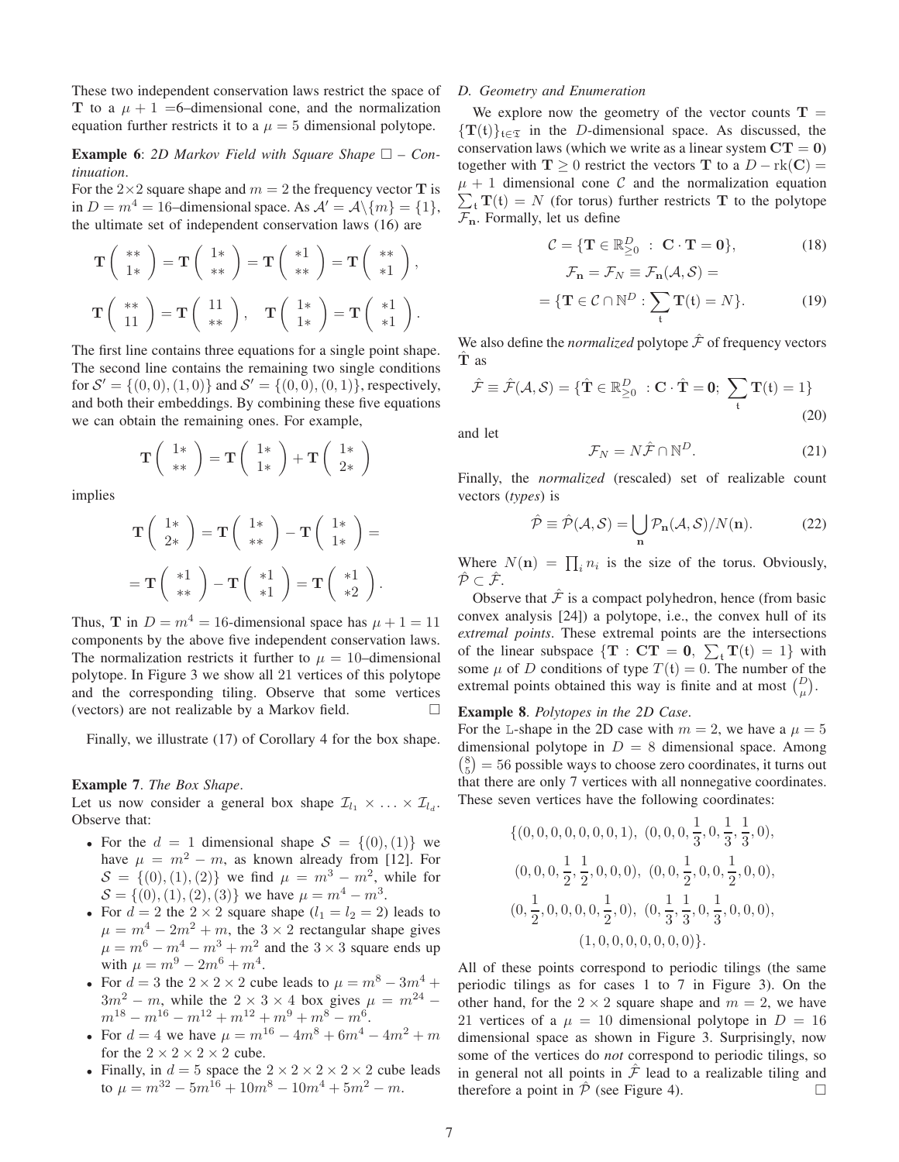These two independent conservation laws restrict the space of T to a  $\mu + 1 = 6$ -dimensional cone, and the normalization equation further restricts it to a  $\mu = 5$  dimensional polytope.

# **Example 6:** 2D Markov Field with Square Shape  $\Box$  – Con*tinuation*.

For the  $2\times 2$  square shape and  $m = 2$  the frequency vector **T** is in  $D = m<sup>4</sup> = 16$ -dimensional space. As  $A' = A \setminus \{m\} = \{1\},\$ the ultimate set of independent conservation laws (16) are

$$
\mathbf{T}\left(\begin{array}{c} * \ * \\ 1* \end{array}\right) = \mathbf{T}\left(\begin{array}{c} 1 \ * \\ * \end{array}\right) = \mathbf{T}\left(\begin{array}{c} *1 \\ * \end{array}\right) = \mathbf{T}\left(\begin{array}{c} * \ * \\ *1 \end{array}\right),
$$

$$
\mathbf{T}\left(\begin{array}{c} * \ * \\ 11 \end{array}\right) = \mathbf{T}\left(\begin{array}{c} 11 \\ * \ * \end{array}\right), \quad \mathbf{T}\left(\begin{array}{c} 1 \ * \\ 1* \end{array}\right) = \mathbf{T}\left(\begin{array}{c} *1 \\ *1 \end{array}\right).
$$

The first line contains three equations for a single point shape. The second line contains the remaining two single conditions for  $S' = \{(0,0), (1,0)\}\$  and  $S' = \{(0,0), (0,1)\}\$ , respectively, and both their embeddings. By combining these five equations we can obtain the remaining ones. For example,

$$
\mathbf{T}\left(\begin{array}{c}1*\\ **\end{array}\right)=\mathbf{T}\left(\begin{array}{c}1*\\ 1*\end{array}\right)+\mathbf{T}\left(\begin{array}{c}1*\\ 2*\end{array}\right)
$$

implies

$$
\mathbf{T}\left(\begin{array}{c}1*\\2* \end{array}\right) = \mathbf{T}\left(\begin{array}{c}1*\\ ** \end{array}\right) - \mathbf{T}\left(\begin{array}{c}1*\\1* \end{array}\right) =
$$

$$
= \mathbf{T}\left(\begin{array}{c} *1\\ ** \end{array}\right) - \mathbf{T}\left(\begin{array}{c} *1\\ *1 \end{array}\right) = \mathbf{T}\left(\begin{array}{c} *1\\ *2 \end{array}\right).
$$

Thus, T in  $D = m^4 = 16$ -dimensional space has  $\mu + 1 = 11$ components by the above five independent conservation laws. The normalization restricts it further to  $\mu = 10$ –dimensional polytope. In Figure 3 we show all 21 vertices of this polytope and the corresponding tiling. Observe that some vertices (vectors) are not realizable by a Markov field.

Finally, we illustrate (17) of Corollary 4 for the box shape.

#### Example 7. *The Box Shape*.

Let us now consider a general box shape  $\mathcal{I}_{l_1} \times \ldots \times \mathcal{I}_{l_d}$ . Observe that:

- For the  $d = 1$  dimensional shape  $S = \{(0), (1)\}\$ we have  $\mu = m^2 - m$ , as known already from [12]. For  $S = \{(0), (1), (2)\}\$  we find  $\mu = m^3 - m^2$ , while for  $S = \{(0), (1), (2), (3)\}\$  we have  $\mu = m^4 - m^3$ .
- For  $d = 2$  the  $2 \times 2$  square shape  $(l_1 = l_2 = 2)$  leads to  $\mu = m^4 - 2m^2 + m$ , the  $3 \times 2$  rectangular shape gives  $\mu = m^6 - m^4 - m^3 + m^2$  and the  $3 \times 3$  square ends up with  $\mu = m^9 - 2m^6 + m^4$ .
- For  $d = 3$  the  $2 \times 2 \times 2$  cube leads to  $\mu = m^8 3m^4 +$  $3m^2 - m$ , while the  $2 \times 3 \times 4$  box gives  $\mu = m^{24}$  $m^{18} - m^{16} - m^{12} + m^{12} + m^9 + m^8 - m^6.$
- For  $d = 4$  we have  $\mu = m^{16} 4m^8 + 6m^4 4m^2 + m$ for the  $2 \times 2 \times 2 \times 2$  cube.
- Finally, in  $d = 5$  space the  $2 \times 2 \times 2 \times 2 \times 2$  cube leads to  $\mu = m^{32} - 5m^{16} + 10m^8 - 10m^4 + 5m^2 - m$ .

#### *D. Geometry and Enumeration*

We explore now the geometry of the vector counts  $T =$  $\{T(t)\}_{t\in\mathcal{I}}$  in the *D*-dimensional space. As discussed, the conservation laws (which we write as a linear system  $CT = 0$ ) together with  $T \ge 0$  restrict the vectors T to a  $D - \text{rk}(C) =$  $\mu + 1$  dimensional cone C and the normalization equation  $\sum_{t} T(t) = N$  (for torus) further restricts T to the polytope  $\mathcal{F}_{\mathbf{n}}$ . Formally, let us define

$$
\mathcal{C} = \{ \mathbf{T} \in \mathbb{R}_{\geq 0}^D : \mathbf{C} \cdot \mathbf{T} = \mathbf{0} \},\tag{18}
$$

$$
= \{ \mathbf{T} \in \mathcal{C} \cap \mathbb{N}^D : \sum_{t} \mathbf{T}(t) = N \}.
$$
 (19)

We also define the *normalized* polytope  $\hat{\mathcal{F}}$  of frequency vectors Tˆ as

 $\mathcal{F}_n = \mathcal{F}_N = \mathcal{F}_n(A, \mathcal{S}) =$ 

$$
\hat{\mathcal{F}} \equiv \hat{\mathcal{F}}(\mathcal{A}, \mathcal{S}) = \{ \hat{\mathbf{T}} \in \mathbb{R}_{\geq 0}^D : \mathbf{C} \cdot \hat{\mathbf{T}} = \mathbf{0}; \ \sum_{\mathfrak{t}} \mathbf{T}(\mathfrak{t}) = 1 \}
$$
(20)

and let

$$
\mathcal{F}_N = N\hat{\mathcal{F}} \cap \mathbb{N}^D. \tag{21}
$$

Finally, the *normalized* (rescaled) set of realizable count vectors (*types*) is

$$
\hat{\mathcal{P}} \equiv \hat{\mathcal{P}}(\mathcal{A}, \mathcal{S}) = \bigcup_{\mathbf{n}} \mathcal{P}_{\mathbf{n}}(\mathcal{A}, \mathcal{S}) / N(\mathbf{n}). \tag{22}
$$

Where  $N(\mathbf{n}) = \prod_i n_i$  is the size of the torus. Obviously,  $\hat{\mathcal{P}} \subset \hat{\mathcal{F}}$ .

Observe that  $\hat{\mathcal{F}}$  is a compact polyhedron, hence (from basic convex analysis [24]) a polytope, i.e., the convex hull of its *extremal points*. These extremal points are the intersections of the linear subspace  $\{T : CT = 0, \sum_{t} T(t) = 1\}$  with some  $\mu$  of D conditions of type  $T(t) = 0$ . The number of the extremal points obtained this way is finite and at most  $\binom{D}{\mu}$ .

# Example 8. *Polytopes in the 2D Case*.

For the L-shape in the 2D case with  $m = 2$ , we have a  $\mu = 5$ dimensional polytope in  $D = 8$  dimensional space. Among  $\binom{8}{5}$  = 56 possible ways to choose zero coordinates, it turns out that there are only 7 vertices with all nonnegative coordinates. These seven vertices have the following coordinates:

$$
\{(0, 0, 0, 0, 0, 0, 0, 1), (0, 0, 0, \frac{1}{3}, 0, \frac{1}{3}, \frac{1}{3}, 0),(0, 0, 0, \frac{1}{2}, \frac{1}{2}, 0, 0, 0), (0, 0, \frac{1}{2}, 0, 0, \frac{1}{2}, 0, 0),(0, \frac{1}{2}, 0, 0, 0, 0, \frac{1}{2}, 0), (0, \frac{1}{3}, \frac{1}{3}, 0, \frac{1}{3}, 0, 0, 0),(1, 0, 0, 0, 0, 0, 0, 0)\}.
$$

All of these points correspond to periodic tilings (the same periodic tilings as for cases 1 to 7 in Figure 3). On the other hand, for the  $2 \times 2$  square shape and  $m = 2$ , we have 21 vertices of a  $\mu = 10$  dimensional polytope in  $D = 16$ dimensional space as shown in Figure 3. Surprisingly, now some of the vertices do *not* correspond to periodic tilings, so in general not all points in  $\hat{\mathcal{F}}$  lead to a realizable tiling and therefore a point in  $\hat{\mathcal{P}}$  (see Figure 4).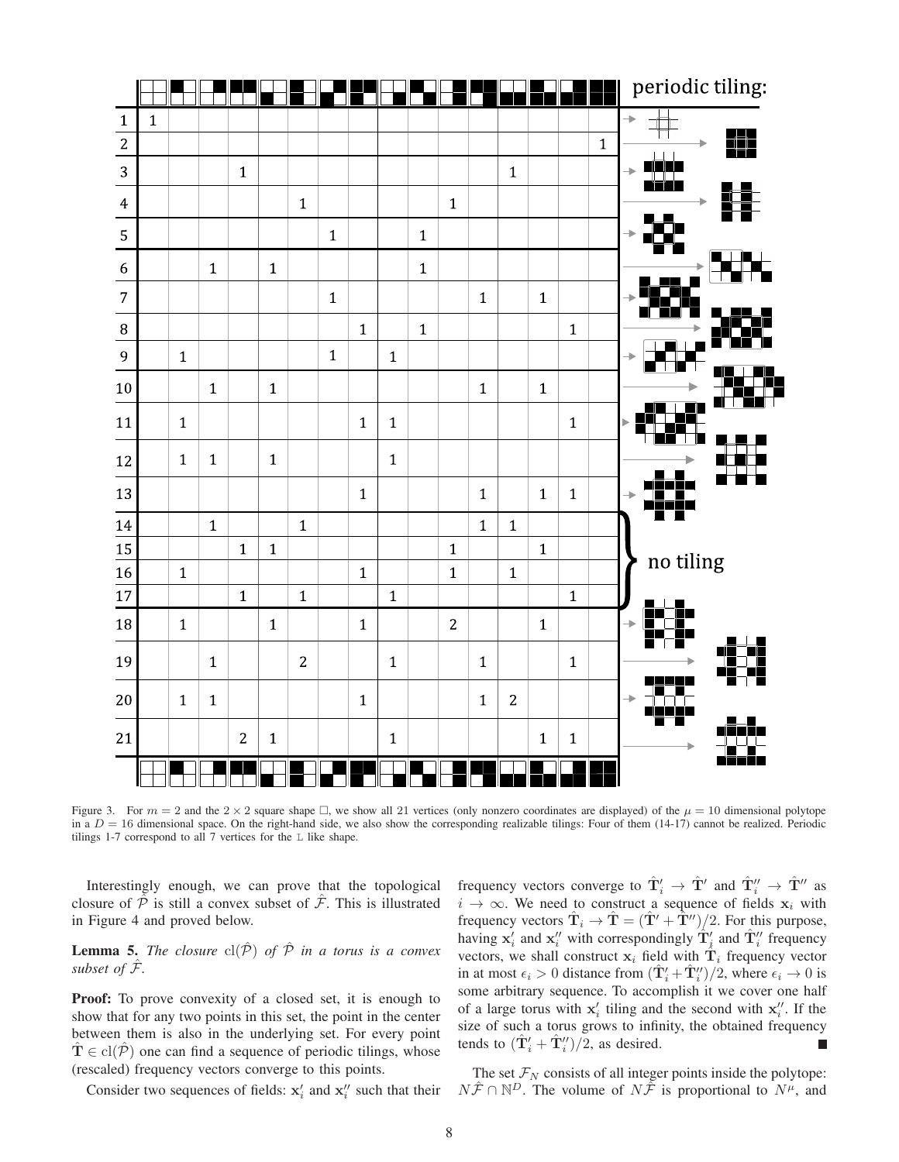

Figure 3. For  $m = 2$  and the  $2 \times 2$  square shape  $\Box$ , we show all 21 vertices (only nonzero coordinates are displayed) of the  $\mu = 10$  dimensional polytope in a  $D = 16$  dimensional space. On the right-hand side, we also show the corresponding realizable tilings: Four of them (14-17) cannot be realized. Periodic tilings 1-7 correspond to all 7 vertices for the L like shape.

Interestingly enough, we can prove that the topological closure of  $\hat{\mathcal{P}}$  is still a convex subset of  $\hat{\mathcal{F}}$ . This is illustrated in Figure 4 and proved below.

**Lemma 5.** *The closure*  $cl(\hat{\mathcal{P}})$  *of*  $\hat{\mathcal{P}}$  *in a torus is a convex subset of*  $\hat{\mathcal{F}}$ *.* 

Proof: To prove convexity of a closed set, it is enough to show that for any two points in this set, the point in the center between them is also in the underlying set. For every point  $\mathbf{T} \in \text{cl}(\overline{\mathcal{P}})$  one can find a sequence of periodic tilings, whose (rescaled) frequency vectors converge to this points.

Consider two sequences of fields:  $x'_i$  and  $x''_i$  such that their

frequency vectors converge to  $\hat{\mathbf{T}}'_i \to \hat{\mathbf{T}}'$  and  $\hat{\mathbf{T}}''_i \to \hat{\mathbf{T}}''$  as  $i \rightarrow \infty$ . We need to construct a sequence of fields  $x_i$  with frequency vectors  $\hat{\mathbf{T}}_i \rightarrow \hat{\mathbf{T}} = (\hat{\mathbf{T}}' + \hat{\hat{\mathbf{T}}}'')/2$ . For this purpose, having  $x'_i$  and  $x''_i$  with correspondingly  $\hat{T}'_i$  and  $\hat{T}''_i$  frequency vectors, we shall construct  $x_i$  field with  $\hat{T}_i$  frequency vector in at most  $\epsilon_i > 0$  distance from  $(\hat{\mathbf{T}}'_i + \hat{\mathbf{T}}''_i)/2$ , where  $\epsilon_i \to 0$  is some arbitrary sequence. To accomplish it we cover one half of a large torus with  $x'_i$  tiling and the second with  $x''_i$ . If the size of such a torus grows to infinity, the obtained frequency tends to  $(\hat{\mathbf{T}}'_i + \hat{\mathbf{T}}''_i)/2$ , as desired. П

The set  $\mathcal{F}_N$  consists of all integer points inside the polytope:  $N\hat{\mathcal{F}} \cap \mathbb{N}^D$ . The volume of  $N\hat{\mathcal{F}}$  is proportional to  $N^{\mu}$ , and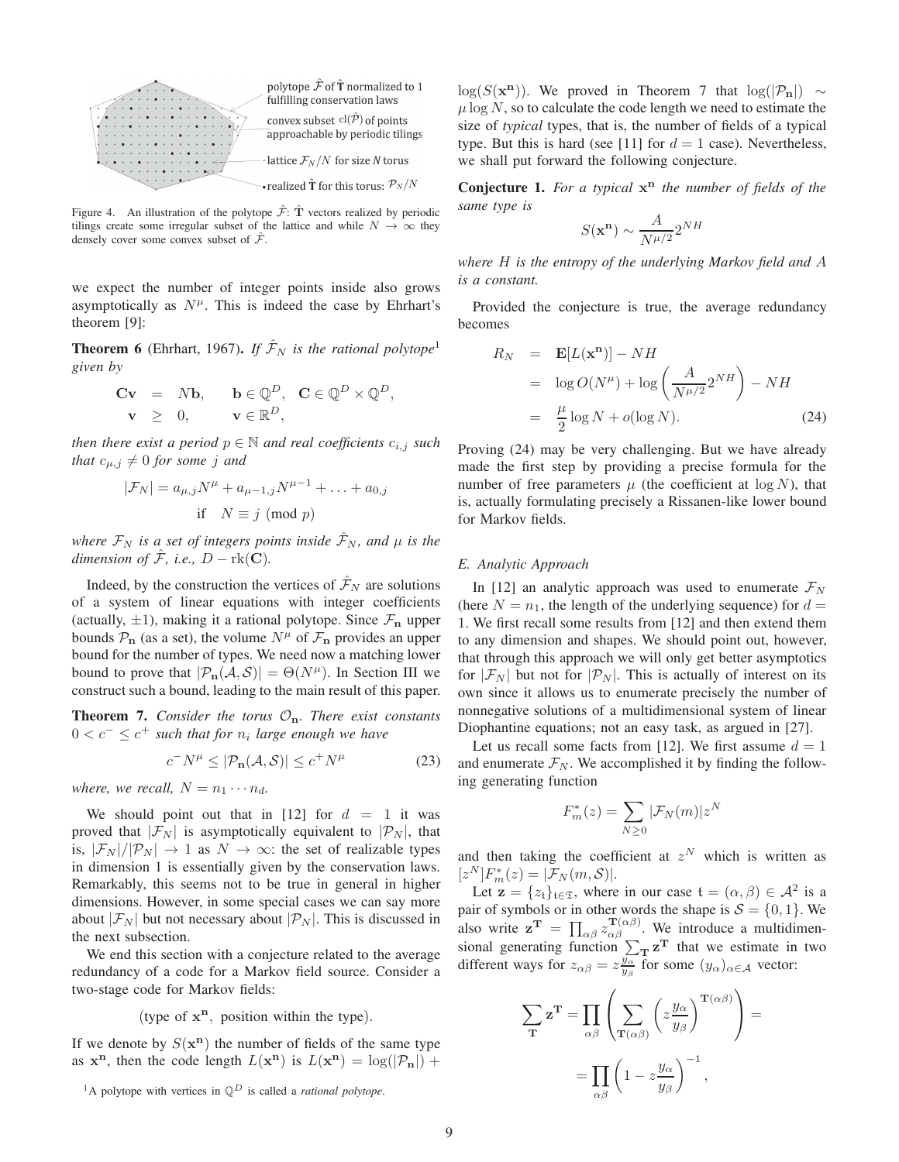

Figure 4. An illustration of the polytope  $\hat{\mathcal{F}}$ :  $\hat{\mathbf{T}}$  vectors realized by periodic tilings create some irregular subset of the lattice and while  $N \to \infty$  they densely cover some convex subset of  $\hat{\mathcal{F}}$ .

we expect the number of integer points inside also grows asymptotically as  $N^{\mu}$ . This is indeed the case by Ehrhart's theorem [9]:

**Theorem 6** (Ehrhart, 1967). *If*  $\hat{\mathcal{F}}_N$  *is the rational polytope*<sup>1</sup> *given by*

$$
\begin{array}{rcl}\n\mathbf{C}\mathbf{v} & = & N\mathbf{b}, \qquad \mathbf{b} \in \mathbb{Q}^D, \quad \mathbf{C} \in \mathbb{Q}^D \times \mathbb{Q}^D, \\
\mathbf{v} & \geq & 0, \qquad \mathbf{v} \in \mathbb{R}^D,\n\end{array}
$$

*then there exist a period*  $p \in \mathbb{N}$  *and real coefficients*  $c_{i,j}$  *such that*  $c_{\mu,j} \neq 0$  *for some j and* 

$$
|\mathcal{F}_N| = a_{\mu,j} N^{\mu} + a_{\mu-1,j} N^{\mu-1} + \dots + a_{0,j}
$$
  
if  $N \equiv j \pmod{p}$ 

*where*  $\mathcal{F}_N$  *is a set of integers points inside*  $\hat{\mathcal{F}}_N$ *, and*  $\mu$  *is the dimension of*  $\hat{\mathcal{F}}$ *, i.e.,*  $D - \text{rk}(\mathbf{C})$ *.* 

Indeed, by the construction the vertices of  $\mathcal{F}_N$  are solutions of a system of linear equations with integer coefficients (actually,  $\pm 1$ ), making it a rational polytope. Since  $\mathcal{F}_{n}$  upper bounds  $P_n$  (as a set), the volume  $N^{\mu}$  of  $\mathcal{F}_n$  provides an upper bound for the number of types. We need now a matching lower bound to prove that  $|\mathcal{P}_n(\mathcal{A}, \mathcal{S})| = \Theta(N^{\mu})$ . In Section III we construct such a bound, leading to the main result of this paper.

**Theorem 7.** *Consider the torus*  $\mathcal{O}_n$ *. There exist constants*  $0 < c<sup>-1</sup> \leq c<sup>+</sup>$  such that for  $n<sub>i</sub>$  large enough we have

$$
c^-N^{\mu} \le |\mathcal{P}_{\mathbf{n}}(\mathcal{A}, \mathcal{S})| \le c^+N^{\mu} \tag{23}
$$

*where, we recall,*  $N = n_1 \cdots n_d$ .

We should point out that in [12] for  $d = 1$  it was proved that  $|\mathcal{F}_N|$  is asymptotically equivalent to  $|\mathcal{P}_N|$ , that is,  $|\mathcal{F}_N|/|\mathcal{P}_N| \to 1$  as  $N \to \infty$ : the set of realizable types in dimension 1 is essentially given by the conservation laws. Remarkably, this seems not to be true in general in higher dimensions. However, in some special cases we can say more about  $|\mathcal{F}_N|$  but not necessary about  $|\mathcal{P}_N|$ . This is discussed in the next subsection.

We end this section with a conjecture related to the average redundancy of a code for a Markov field source. Consider a two-stage code for Markov fields:

# (type of  $x^n$ , position within the type).

If we denote by  $S(\mathbf{x}^n)$  the number of fields of the same type as  $x^n$ , then the code length  $L(x^n)$  is  $L(x^n) = \log(|\mathcal{P}_n|) +$ 

 $log(S(\mathbf{x}^n))$ . We proved in Theorem 7 that  $log(|P_n|) \sim$  $\mu$  log N, so to calculate the code length we need to estimate the size of *typical* types, that is, the number of fields of a typical type. But this is hard (see [11] for  $d = 1$  case). Nevertheless, we shall put forward the following conjecture.

Conjecture 1. *For a typical* x <sup>n</sup> *the number of fields of the same type is*

$$
S(\mathbf{x}^{\mathbf{n}}) \sim \frac{A}{N^{\mu/2}} 2^{NH}
$$

*where* H *is the entropy of the underlying Markov field and* A *is a constant.*

Provided the conjecture is true, the average redundancy becomes

$$
R_N = \mathbf{E}[L(\mathbf{x}^{\mathbf{n}})] - NH
$$
  
=  $\log O(N^{\mu}) + \log \left(\frac{A}{N^{\mu/2}} 2^{NH}\right) - NH$   
=  $\frac{\mu}{2} \log N + o(\log N).$  (24)

Proving (24) may be very challenging. But we have already made the first step by providing a precise formula for the number of free parameters  $\mu$  (the coefficient at  $\log N$ ), that is, actually formulating precisely a Rissanen-like lower bound for Markov fields.

# *E. Analytic Approach*

In [12] an analytic approach was used to enumerate  $\mathcal{F}_N$ (here  $N = n_1$ , the length of the underlying sequence) for  $d =$ 1. We first recall some results from [12] and then extend them to any dimension and shapes. We should point out, however, that through this approach we will only get better asymptotics for  $|\mathcal{F}_N|$  but not for  $|\mathcal{P}_N|$ . This is actually of interest on its own since it allows us to enumerate precisely the number of nonnegative solutions of a multidimensional system of linear Diophantine equations; not an easy task, as argued in [27].

Let us recall some facts from [12]. We first assume  $d = 1$ and enumerate  $\mathcal{F}_N$ . We accomplished it by finding the following generating function

$$
F_m^*(z) = \sum_{N \ge 0} |\mathcal{F}_N(m)| z^N
$$

and then taking the coefficient at  $z^N$  which is written as  $[z^N]F_m^*(z) = |\mathcal{F}_N(m, \mathcal{S})|.$ 

Let  $\mathbf{z} = \{z_t\}_{t \in \mathfrak{T}}$ , where in our case  $\mathfrak{t} = (\alpha, \beta) \in \mathcal{A}^2$  is a pair of symbols or in other words the shape is  $S = \{0, 1\}$ . We also write  $\mathbf{z}^{\mathbf{T}} = \prod_{\alpha\beta} z_{\alpha\beta}^{\mathbf{T}(\alpha\beta)}$ . We introduce a multidimensional generating function  $\sum_{\mathbf{T}} \mathbf{z}^{\mathbf{T}}$  that we estimate in two different ways for  $z_{\alpha\beta} = z_{y_\beta}^{\frac{y_\alpha}{y_\beta}}$  for some  $(y_\alpha)_{\alpha \in \mathcal{A}}$  vector:

$$
\sum_{\mathbf{T}} \mathbf{z}^{\mathbf{T}} = \prod_{\alpha\beta} \left( \sum_{\mathbf{T}(\alpha\beta)} \left( z \frac{y_{\alpha}}{y_{\beta}} \right)^{\mathbf{T}(\alpha\beta)} \right) =
$$

$$
= \prod_{\alpha\beta} \left( 1 - z \frac{y_{\alpha}}{y_{\beta}} \right)^{-1},
$$

<sup>&</sup>lt;sup>1</sup>A polytope with vertices in  $\mathbb{Q}^D$  is called a *rational polytope*.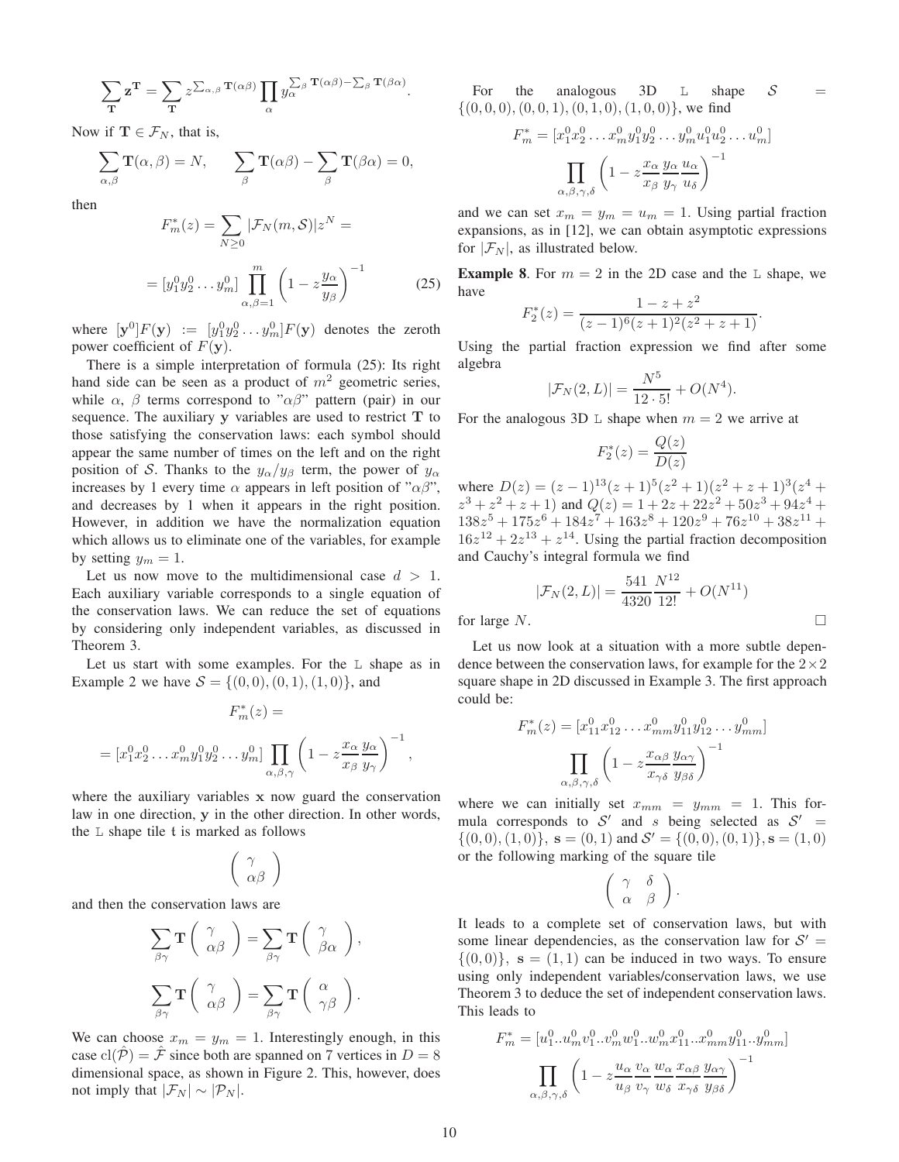$$
\sum_{\mathbf{T}} \mathbf{z}^{\mathbf{T}} = \sum_{\mathbf{T}} z^{\sum_{\alpha,\beta} \mathbf{T}(\alpha\beta)} \prod_{\alpha} y_{\alpha}^{\sum_{\beta} \mathbf{T}(\alpha\beta) - \sum_{\beta} \mathbf{T}(\beta\alpha)}.
$$

Now if  $\mathbf{T} \in \mathcal{F}_N$ , that is,

$$
\sum_{\alpha,\beta} \mathbf{T}(\alpha,\beta) = N, \qquad \sum_{\beta} \mathbf{T}(\alpha\beta) - \sum_{\beta} \mathbf{T}(\beta\alpha) = 0,
$$

then

$$
F_m^*(z) = \sum_{N\geq 0} |\mathcal{F}_N(m, \mathcal{S})| z^N =
$$

$$
= [y_1^0 y_2^0 \dots y_m^0] \prod_{\alpha, \beta=1}^m \left(1 - z \frac{y_\alpha}{y_\beta}\right)^{-1}
$$
(25)

where  $[\mathbf{y}^0]F(\mathbf{y}) \ := \ [y_1^0y_2^0 \dots y_m^0]F(\mathbf{y})$  denotes the zeroth power coefficient of  $F(y)$ .

There is a simple interpretation of formula (25): Its right hand side can be seen as a product of  $m<sup>2</sup>$  geometric series, while  $\alpha$ ,  $\beta$  terms correspond to " $\alpha\beta$ " pattern (pair) in our sequence. The auxiliary  $y$  variables are used to restrict  $T$  to those satisfying the conservation laws: each symbol should appear the same number of times on the left and on the right position of S. Thanks to the  $y_{\alpha}/y_{\beta}$  term, the power of  $y_{\alpha}$ increases by 1 every time  $\alpha$  appears in left position of " $\alpha\beta$ ", and decreases by 1 when it appears in the right position. However, in addition we have the normalization equation which allows us to eliminate one of the variables, for example by setting  $y_m = 1$ .

Let us now move to the multidimensional case  $d > 1$ . Each auxiliary variable corresponds to a single equation of the conservation laws. We can reduce the set of equations by considering only independent variables, as discussed in Theorem 3.

Let us start with some examples. For the L shape as in Example 2 we have  $S = \{(0, 0), (0, 1), (1, 0)\}\)$ , and

$$
F_m^*(z) =
$$
  
=  $[x_1^0 x_2^0 \dots x_m^0 y_1^0 y_2^0 \dots y_m^0] \prod_{\alpha,\beta,\gamma} \left(1 - z \frac{x_\alpha}{x_\beta} \frac{y_\alpha}{y_\gamma}\right)^{-1}$ 

where the auxiliary variables x now guard the conservation law in one direction, y in the other direction. In other words, the  $L$  shape tile  $t$  is marked as follows

$$
\left(\begin{array}{c}\gamma\\ \alpha\beta\end{array}\right)
$$

and then the conservation laws are

$$
\sum_{\beta\gamma} \mathbf{T} \begin{pmatrix} \gamma \\ \alpha\beta \end{pmatrix} = \sum_{\beta\gamma} \mathbf{T} \begin{pmatrix} \gamma \\ \beta\alpha \end{pmatrix},
$$

$$
\sum_{\beta\gamma} \mathbf{T} \begin{pmatrix} \gamma \\ \alpha\beta \end{pmatrix} = \sum_{\beta\gamma} \mathbf{T} \begin{pmatrix} \alpha \\ \gamma\beta \end{pmatrix}.
$$

We can choose  $x_m = y_m = 1$ . Interestingly enough, in this case  $\text{cl}(\hat{\mathcal{P}}) = \hat{\mathcal{F}}$  since both are spanned on 7 vertices in  $D = 8$ dimensional space, as shown in Figure 2. This, however, does not imply that  $|\mathcal{F}_N| \sim |\mathcal{P}_N|$ .

For the analogous 3D  $\mathbb{L}$  shape S  $\{(0, 0, 0), (0, 0, 1), (0, 1, 0), (1, 0, 0)\}\text{, we find}$ 

$$
F_m^* = [x_1^0 x_2^0 \dots x_m^0 y_1^0 y_2^0 \dots y_m^0 u_1^0 u_2^0 \dots u_m^0]
$$

$$
\prod_{\alpha,\beta,\gamma,\delta} \left(1 - z \frac{x_\alpha}{x_\beta} \frac{y_\alpha}{y_\gamma} \frac{u_\alpha}{u_\delta}\right)^{-1}
$$

and we can set  $x_m = y_m = u_m = 1$ . Using partial fraction expansions, as in [12], we can obtain asymptotic expressions for  $|\mathcal{F}_N|$ , as illustrated below.

**Example 8.** For  $m = 2$  in the 2D case and the L shape, we have

$$
F_2^*(z) = \frac{1 - z + z^2}{(z - 1)^6 (z + 1)^2 (z^2 + z + 1)}.
$$

Using the partial fraction expression we find after some algebra

$$
|\mathcal{F}_N(2,L)| = \frac{N^5}{12 \cdot 5!} + O(N^4).
$$

For the analogous 3D L shape when  $m = 2$  we arrive at

$$
F_2^*(z) = \frac{Q(z)}{D(z)}
$$

where  $D(z) = (z-1)^{13}(z+1)^5(z^2+1)(z^2+z+1)^3(z^4+1)$  $z^3 + z^2 + z + 1$  and  $Q(z) = 1 + 2z + 22z^2 + 50z^3 + 94z^4 +$  $138z^5 + 175z^6 + 184z^7 + 163z^8 + 120z^9 + 76z^{10} + 38z^{11} +$  $16z^{12} + 2z^{13} + z^{14}$ . Using the partial fraction decomposition and Cauchy's integral formula we find

$$
|\mathcal{F}_N(2,L)| = \frac{541}{4320} \frac{N^{12}}{12!} + O(N^{11})
$$

for large  $N$ .

Let us now look at a situation with a more subtle dependence between the conservation laws, for example for the  $2\times 2$ square shape in 2D discussed in Example 3. The first approach could be:

$$
F_m^*(z) = [x_{11}^0 x_{12}^0 \dots x_{mm}^0 y_{11}^0 y_{12}^0 \dots y_{mm}^0]
$$

$$
\prod_{\alpha,\beta,\gamma,\delta} \left(1 - z \frac{x_{\alpha\beta}}{x_{\gamma\delta}} \frac{y_{\alpha\gamma}}{y_{\beta\delta}}\right)^{-1}
$$

where we can initially set  $x_{mm} = y_{mm} = 1$ . This formula corresponds to  $S'$  and s being selected as  $S'$  =  $\{(0,0), (1,0)\}, \mathbf{s} = (0,1) \text{ and } \mathcal{S}' = \{(0,0), (0,1)\}, \mathbf{s} = (1,0)$ or the following marking of the square tile

$$
\left(\begin{array}{cc} \gamma & \delta \\ \alpha & \beta \end{array}\right).
$$

It leads to a complete set of conservation laws, but with some linear dependencies, as the conservation law for  $S' =$  $\{(0,0)\}\,$ ,  $\mathbf{s} = (1,1)$  can be induced in two ways. To ensure using only independent variables/conservation laws, we use Theorem 3 to deduce the set of independent conservation laws. This leads to

$$
F_m^* = [u_1^0...u_m^0v_1^0...v_m^0w_1^0...w_m^0x_{11}^0...x_{mm}^0y_{11}^0...y_{mm}^0]
$$

$$
\prod_{\alpha,\beta,\gamma,\delta} \left(1 - z\frac{u_\alpha}{u_\beta}\frac{v_\alpha}{v_\gamma}\frac{w_\alpha}{w_\delta}\frac{x_{\alpha\beta}}{x_{\gamma\delta}}\frac{y_{\alpha\gamma}}{y_{\beta\delta}}\right)^{-1}
$$

,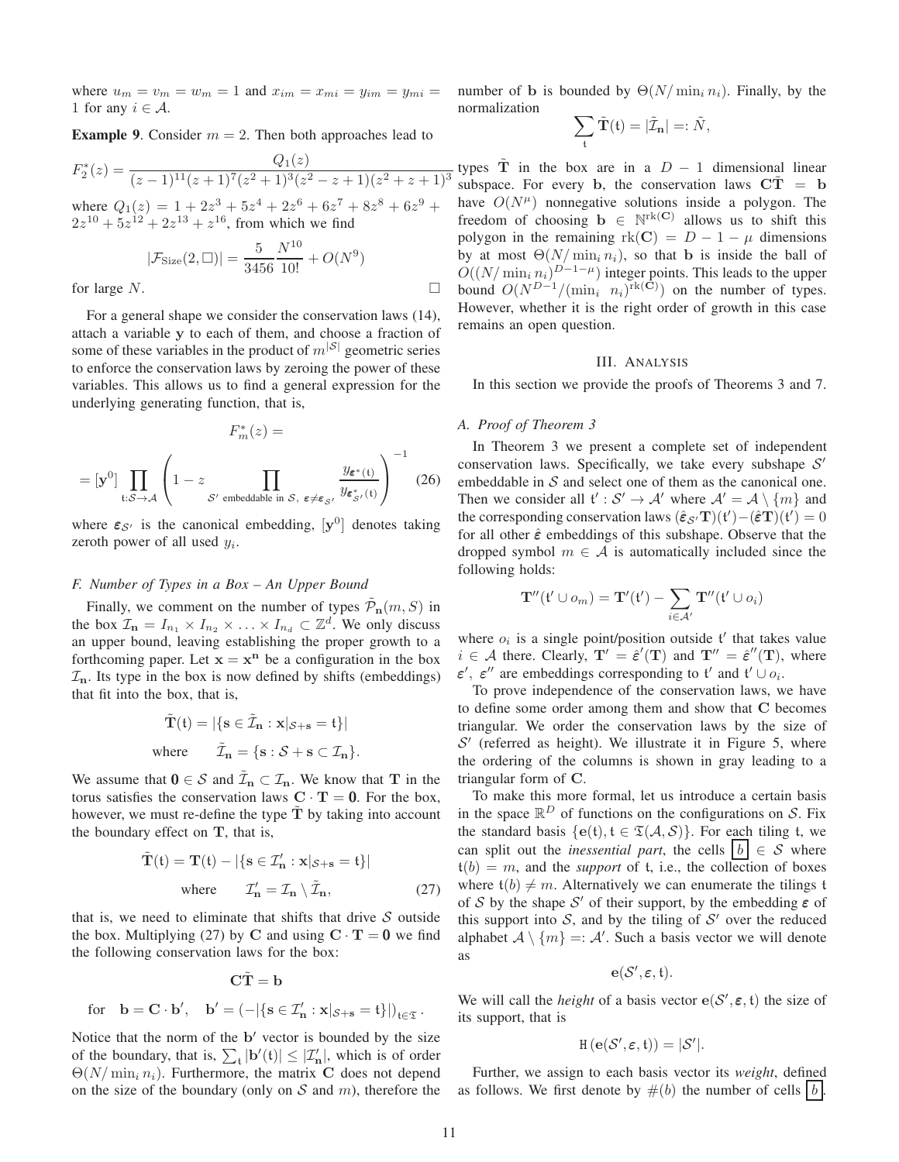where  $u_m = v_m = w_m = 1$  and  $x_{im} = x_{mi} = y_{im} = y_{mi} = w_{mi}$ 1 for any  $i \in \mathcal{A}$ .

**Example 9.** Consider  $m = 2$ . Then both approaches lead to

$$
F_2^*(z) = \frac{Q_1(z)}{(z-1)^{11}(z+1)^7(z^2+1)^3(z^2-z+1)(z^2+z+1)^3}
$$

where  $Q_1(z) = 1 + 2z^3 + 5z^4 + 2z^6 + 6z^7 + 8z^8 + 6z^9 +$  $2z^{10} + 5z^{12} + 2z^{13} + z^{16}$ , from which we find

$$
|\mathcal{F}_{\text{Size}}(2, \Box)| = \frac{5}{3456} \frac{N^{10}}{10!} + O(N^9)
$$

for large  $N$ .

For a general shape we consider the conservation laws (14), attach a variable y to each of them, and choose a fraction of some of these variables in the product of  $m^{|S|}$  geometric series to enforce the conservation laws by zeroing the power of these variables. This allows us to find a general expression for the underlying generating function, that is,

$$
F_m^*(z) =
$$
  
=  $[\mathbf{y}^0]$ 
$$
\prod_{\mathfrak{t}: \mathcal{S} \to \mathcal{A}} \left(1 - z \prod_{\mathcal{S}' \text{ embeddable in } \mathcal{S}, \; \varepsilon \neq \varepsilon_{\mathcal{S}'}} \frac{y_{\varepsilon^*(\mathfrak{t})}}{y_{\varepsilon^*_{\mathcal{S}'}(\mathfrak{t})}}\right)^{-1}
$$
(26)

where  $\varepsilon_{\mathcal{S}'}$  is the canonical embedding,  $[\mathbf{y}^0]$  denotes taking zeroth power of all used  $y_i$ .

# *F. Number of Types in a Box – An Upper Bound*

Finally, we comment on the number of types  $\tilde{\mathcal{P}}_{n}(m, S)$  in the box  $\mathcal{I}_n = I_{n_1} \times I_{n_2} \times \ldots \times I_{n_d} \subset \mathbb{Z}^d$ . We only discuss an upper bound, leaving establishing the proper growth to a forthcoming paper. Let  $x = x^n$  be a configuration in the box  $\mathcal{I}_n$ . Its type in the box is now defined by shifts (embeddings) that fit into the box, that is,

$$
\tilde{\mathbf{T}}(t) = |\{ \mathbf{s} \in \tilde{\mathcal{I}}_{\mathbf{n}} : \mathbf{x} |_{\mathcal{S} + \mathbf{s}} = t \} |
$$
  
where 
$$
\tilde{\mathcal{I}}_{\mathbf{n}} = \{ \mathbf{s} : \mathcal{S} + \mathbf{s} \subset \mathcal{I}_{\mathbf{n}} \}.
$$

We assume that  $0 \in S$  and  $\tilde{\mathcal{I}}_n \subset \mathcal{I}_n$ . We know that T in the torus satisfies the conservation laws  $C \cdot T = 0$ . For the box, however, we must re-define the type  $\tilde{T}$  by taking into account the boundary effect on  $T$ , that is,

$$
\tilde{\mathbf{T}}(\mathfrak{t}) = \mathbf{T}(\mathfrak{t}) - |\{\mathbf{s} \in \mathcal{I}_{\mathbf{n}}' : \mathbf{x}|_{\mathcal{S} + \mathbf{s}} = \mathfrak{t}\}|
$$
\nwhere\n
$$
\mathcal{I}_{\mathbf{n}}' = \mathcal{I}_{\mathbf{n}} \setminus \tilde{\mathcal{I}}_{\mathbf{n}},
$$
\n(27)

that is, we need to eliminate that shifts that drive  $S$  outside the box. Multiplying (27) by C and using  $C \cdot T = 0$  we find the following conservation laws for the box:

$$
\mathbf{C}\tilde{\mathbf{T}} = \mathbf{b}
$$
  
for  $\mathbf{b} = \mathbf{C} \cdot \mathbf{b}'$ ,  $\mathbf{b}' = (-|\{\mathbf{s} \in \mathcal{I}'_{\mathbf{n}} : \mathbf{x}|_{\mathcal{S} + \mathbf{s}} = \mathbf{t}\}|)_{\mathbf{t} \in \mathfrak{T}}$ .

Notice that the norm of the b' vector is bounded by the size of the boundary, that is,  $\sum_{t} |b'(t)| \leq |\mathcal{I}'_n|$ , which is of order  $\Theta(N/\min_i n_i)$ . Furthermore, the matrix C does not depend on the size of the boundary (only on  $S$  and  $m$ ), therefore the number of b is bounded by  $\Theta(N/\min_i n_i)$ . Finally, by the normalization

$$
\sum_{\mathfrak{t}} \tilde{\mathbf{T}}(\mathfrak{t}) = |\tilde{\mathcal{I}}_{\mathbf{n}}| =: \tilde{N},
$$

types  $\tilde{T}$  in the box are in a  $D - 1$  dimensional linear subspace. For every b, the conservation laws  $CT = b$ have  $O(N^{\mu})$  nonnegative solutions inside a polygon. The freedom of choosing  $\mathbf{b} \in \mathbb{N}^{rk(\mathbf{C})}$  allows us to shift this polygon in the remaining  $rk(C) = D - 1 - \mu$  dimensions by at most  $\Theta(N/\min_i n_i)$ , so that b is inside the ball of  $O((N/\min_i n_i)^{D-1-\mu})$  integer points. This leads to the upper bound  $O(N^{D-1}/(\min_i n_i)^{\text{rk}}(\tilde{C}))$  on the number of types. However, whether it is the right order of growth in this case remains an open question.

#### III. ANALYSIS

In this section we provide the proofs of Theorems 3 and 7.

#### *A. Proof of Theorem 3*

In Theorem 3 we present a complete set of independent conservation laws. Specifically, we take every subshape  $S'$ embeddable in  $S$  and select one of them as the canonical one. Then we consider all  $\mathfrak{t}': \mathcal{S}' \to \mathcal{A}'$  where  $\mathcal{A}' = \mathcal{A} \setminus \{m\}$  and the corresponding conservation laws  $(\hat{\epsilon}_{\mathcal{S}'} \mathbf{T})(\mathfrak{t}') - (\hat{\epsilon} \mathbf{T})(\mathfrak{t}') = 0$ for all other  $\hat{\epsilon}$  embeddings of this subshape. Observe that the dropped symbol  $m \in A$  is automatically included since the following holds:

$$
\mathbf{T}''({\mathfrak t}'\cup o_m)=\mathbf{T}'({\mathfrak t}')-\sum_{i\in{\mathcal A}'}\mathbf{T}''({\mathfrak t}'\cup o_i)
$$

where  $o_i$  is a single point/position outside  $t'$  that takes value  $i \in \mathcal{A}$  there. Clearly,  $T' = \hat{\epsilon}'(T)$  and  $T'' = \hat{\epsilon}''(T)$ , where  $\varepsilon'$ ,  $\varepsilon''$  are embeddings corresponding to t' and t'  $\cup$   $o_i$ .

To prove independence of the conservation laws, we have to define some order among them and show that C becomes triangular. We order the conservation laws by the size of  $S'$  (referred as height). We illustrate it in Figure 5, where the ordering of the columns is shown in gray leading to a triangular form of C.

To make this more formal, let us introduce a certain basis in the space  $\mathbb{R}^D$  of functions on the configurations on S. Fix the standard basis  ${e(t), t \in \mathfrak{T}(\mathcal{A}, \mathcal{S})}$ . For each tiling t, we can split out the *inessential part*, the cells  $\vert b \vert \in S$  where  $t(b) = m$ , and the *support* of t, i.e., the collection of boxes where  $t(b) \neq m$ . Alternatively we can enumerate the tilings t of S by the shape S' of their support, by the embedding  $\varepsilon$  of this support into  $S$ , and by the tiling of  $S'$  over the reduced alphabet  $A \setminus \{m\} =: A'$ . Such a basis vector we will denote as

$$
\mathbf{e}(\mathcal{S}',\pmb{\varepsilon},\mathfrak{t}).
$$

We will call the *height* of a basis vector  $e(S', \varepsilon, t)$  the size of its support, that is

$$
H\left(\mathbf{e}(\mathcal{S}',\boldsymbol{\epsilon},\mathfrak{t})\right)=|\mathcal{S}'|.
$$

Further, we assign to each basis vector its *weight*, defined as follows. We first denote by  $\#(b)$  the number of cells b.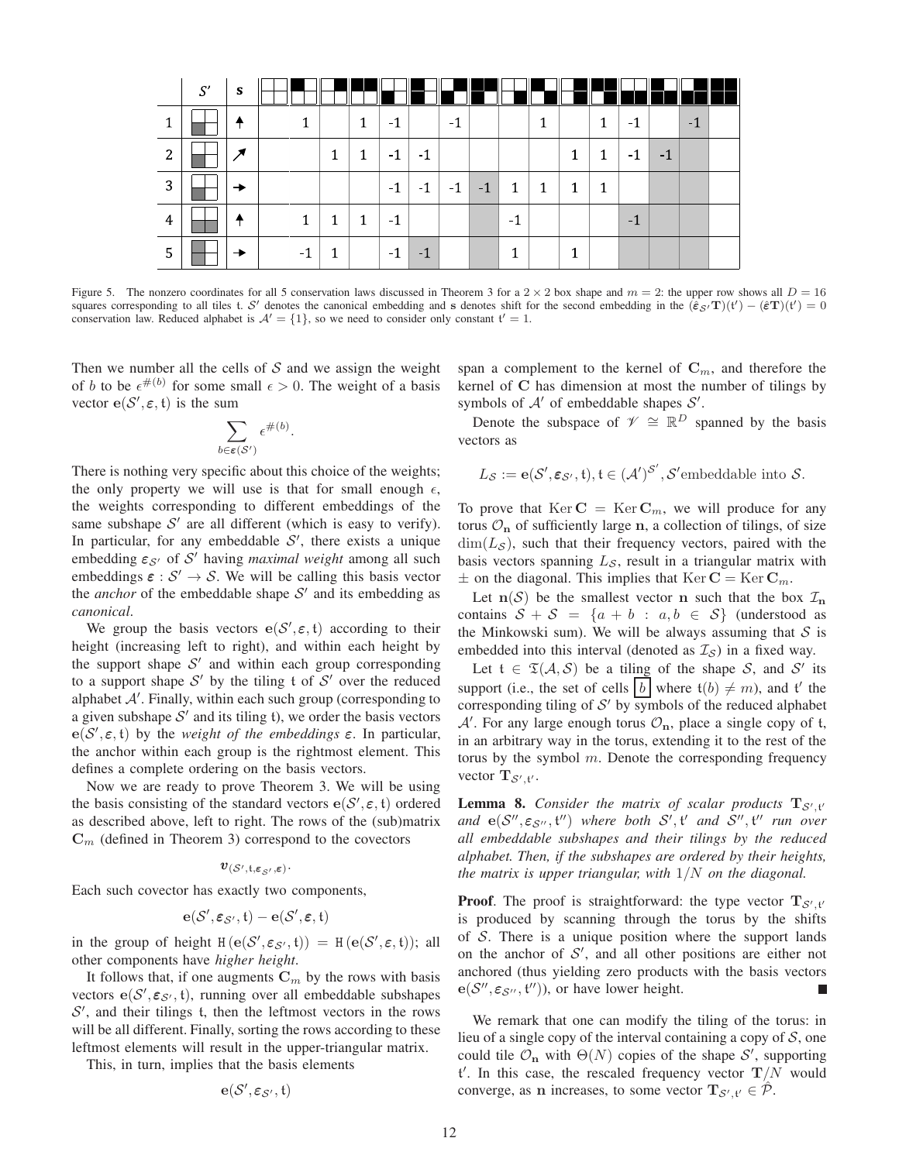|   | S' | $\mathbf{s}$ |    |              |              |      |      |      |      |              |              | II            |              |      |      |     |  |
|---|----|--------------|----|--------------|--------------|------|------|------|------|--------------|--------------|---------------|--------------|------|------|-----|--|
|   |    |              | 1  |              | $\mathbf{1}$ | -1   |      | $-1$ |      |              | 1            |               | $\mathbf{1}$ | -1   |      | - 1 |  |
| 2 |    |              |    | $\mathbf{1}$ | 1            | $-1$ | $-1$ |      |      |              |              | 1             | 1            | -1   | $-1$ |     |  |
| 3 |    |              |    |              |              | $-1$ | $-1$ | $-1$ | $-1$ | $\mathbf{1}$ | $\mathbf{1}$ | $\pm$ 1 $\pm$ | $\mathbf{1}$ |      |      |     |  |
| 4 |    |              | 1  | $\mathbf{1}$ | 1            | -1   |      |      |      | $-1$         |              |               |              | $-1$ |      |     |  |
|   |    |              | -1 |              |              | - 1  | - 1  |      |      |              |              | 1             |              |      |      |     |  |

Figure 5. The nonzero coordinates for all 5 conservation laws discussed in Theorem 3 for a  $2 \times 2$  box shape and  $m = 2$ : the upper row shows all  $D = 16$ squares corresponding to all tiles t. S' denotes the canonical embedding and s denotes shift for the second embedding in the  $(\hat{\epsilon}_{\mathcal{S}'}T)(t') - (\hat{\epsilon}T)(t') = 0$ conservation law. Reduced alphabet is  $\mathcal{A}' = \{1\}$ , so we need to consider only constant  $t' = 1$ .

Then we number all the cells of  $S$  and we assign the weight of b to be  $\epsilon^{\#(b)}$  for some small  $\epsilon > 0$ . The weight of a basis vector  $e(S', \varepsilon, t)$  is the sum

$$
\sum_{b \in \varepsilon(S')} \epsilon^{\#(b)}.
$$

There is nothing very specific about this choice of the weights; the only property we will use is that for small enough  $\epsilon$ , the weights corresponding to different embeddings of the same subshape  $S'$  are all different (which is easy to verify). In particular, for any embeddable  $S'$ , there exists a unique embedding  $\varepsilon_{\mathcal{S}'}$  of  $\mathcal{S}'$  having *maximal weight* among all such embeddings  $\varepsilon$  :  $S' \rightarrow S$ . We will be calling this basis vector the *anchor* of the embeddable shape  $S'$  and its embedding as *canonical*.

We group the basis vectors  $e(S', \varepsilon, t)$  according to their height (increasing left to right), and within each height by the support shape  $S'$  and within each group corresponding to a support shape  $S'$  by the tiling t of  $S'$  over the reduced alphabet  $A'$ . Finally, within each such group (corresponding to a given subshape  $S'$  and its tiling t), we order the basis vectors  $e(S', \varepsilon, t)$  by the *weight of the embeddings*  $\varepsilon$ . In particular, the anchor within each group is the rightmost element. This defines a complete ordering on the basis vectors.

Now we are ready to prove Theorem 3. We will be using the basis consisting of the standard vectors  $e(S', \varepsilon, t)$  ordered as described above, left to right. The rows of the (sub)matrix  $\mathbf{C}_m$  (defined in Theorem 3) correspond to the covectors

# $v_{(\mathcal{S}',\mathfrak{t},\varepsilon_{\mathcal{S}'},\varepsilon)}$ .

Each such covector has exactly two components,

$$
\mathbf{e}(\mathcal{S}',\pmb{\varepsilon}_{\mathcal{S}'},t)-\mathbf{e}(\mathcal{S}',\pmb{\varepsilon},t)
$$

in the group of height  $H(e(S', \varepsilon_{S'}, t)) = H(e(S', \varepsilon, t))$ ; all other components have *higher height*.

It follows that, if one augments  $\mathbf{C}_m$  by the rows with basis vectors  $e(S', \varepsilon_{S'} , t)$ , running over all embeddable subshapes  $S'$ , and their tilings t, then the leftmost vectors in the rows will be all different. Finally, sorting the rows according to these leftmost elements will result in the upper-triangular matrix.

This, in turn, implies that the basis elements

 $\mathbf{e}(\mathcal{S}', \boldsymbol{\varepsilon}_{\mathcal{S}'}, \mathfrak{t})$ 

span a complement to the kernel of  $\mathbf{C}_m$ , and therefore the kernel of C has dimension at most the number of tilings by symbols of  $A'$  of embeddable shapes  $S'$ .

Denote the subspace of  $\mathcal{V} \cong \mathbb{R}^D$  spanned by the basis vectors as

$$
L_{\mathcal{S}} := \mathbf{e}(\mathcal{S}', \varepsilon_{\mathcal{S}'}, \mathfrak{t}), \mathfrak{t} \in (\mathcal{A}')^{\mathcal{S}'}, \mathcal{S}' \text{embeddable into } \mathcal{S}.
$$

To prove that  $\text{Ker } \mathbf{C} = \text{Ker } \mathbf{C}_m$ , we will produce for any torus  $\mathcal{O}_n$  of sufficiently large n, a collection of tilings, of size  $\dim(L_{\mathcal{S}})$ , such that their frequency vectors, paired with the basis vectors spanning  $L_{\mathcal{S}}$ , result in a triangular matrix with  $\pm$  on the diagonal. This implies that Ker **C** = Ker **C**<sub>m</sub>.

Let  $n(S)$  be the smallest vector n such that the box  $\mathcal{I}_n$ contains  $S + S = \{a + b : a, b \in S\}$  (understood as the Minkowski sum). We will be always assuming that  $S$  is embedded into this interval (denoted as  $\mathcal{I}_{\mathcal{S}}$ ) in a fixed way.

Let  $f \in \mathfrak{T}(A, \mathcal{S})$  be a tiling of the shape S, and S' its support (i.e., the set of cells  $\vert b \vert$  where  $t(b) \neq m$ ), and t' the corresponding tiling of  $S'$  by symbols of the reduced alphabet  $A'$ . For any large enough torus  $\mathcal{O}_n$ , place a single copy of t, in an arbitrary way in the torus, extending it to the rest of the torus by the symbol  $m$ . Denote the corresponding frequency vector  $\mathbf{T}_{\mathcal{S}', \mathfrak{t}'}$ .

**Lemma 8.** Consider the matrix of scalar products  $T_{\mathcal{S}',t'}$ and  $e(S'', \varepsilon_{S''}, t'')$  where both  $S', t'$  and  $S'', t''$  run over *all embeddable subshapes and their tilings by the reduced alphabet. Then, if the subshapes are ordered by their heights, the matrix is upper triangular, with* 1/N *on the diagonal.*

**Proof.** The proof is straightforward: the type vector  $T_{\mathcal{S}',t'}$ is produced by scanning through the torus by the shifts of  $S$ . There is a unique position where the support lands on the anchor of  $S'$ , and all other positions are either not anchored (thus yielding zero products with the basis vectors  $e(S'', \varepsilon_{S''}, t''))$ , or have lower height. Г

We remark that one can modify the tiling of the torus: in lieu of a single copy of the interval containing a copy of  $S$ , one could tile  $\mathcal{O}_n$  with  $\Theta(N)$  copies of the shape  $\mathcal{S}'$ , supporting  ${\mathfrak t}'$ . In this case, the rescaled frequency vector  ${\mathbf T}/N$  would converge, as n increases, to some vector  $\mathbf{T}_{\mathcal{S}',\mathfrak{t}'} \in \hat{\mathcal{P}}$ .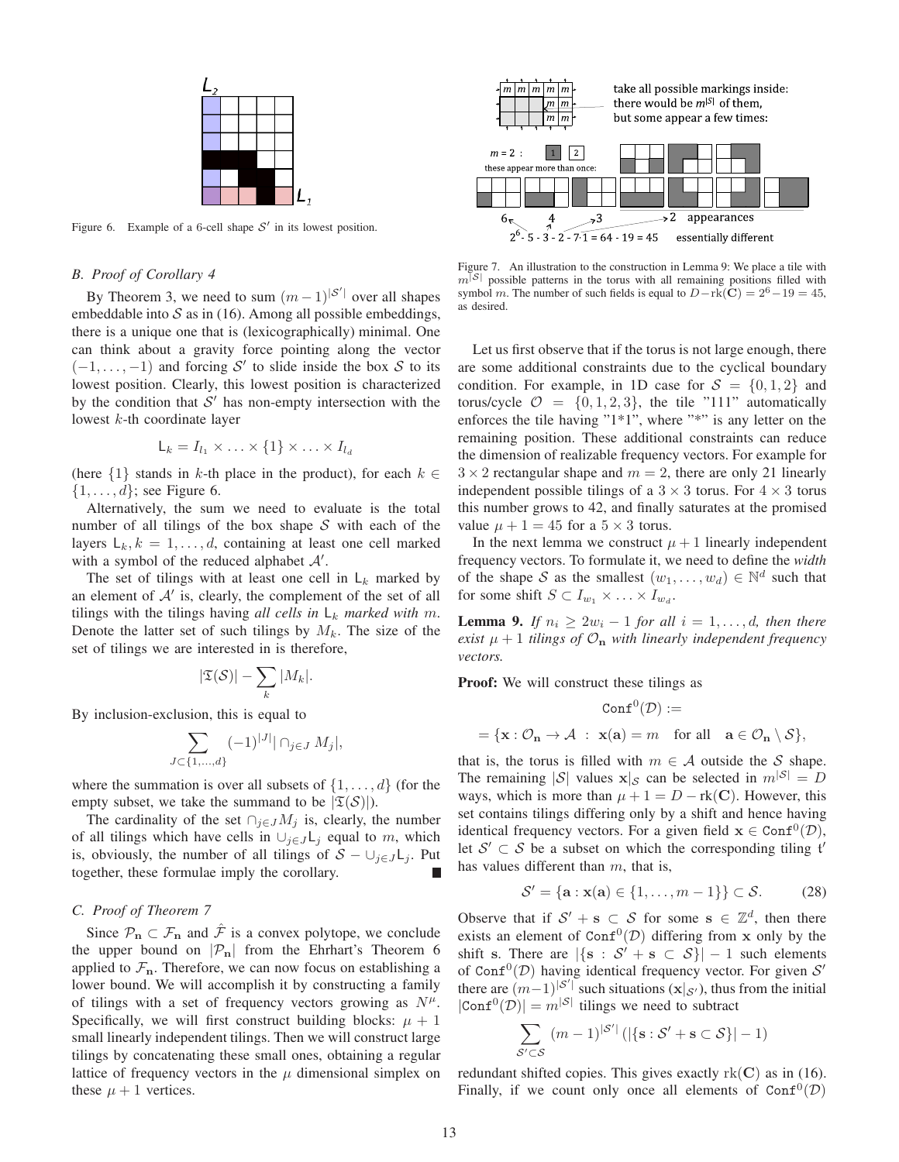| <u>ړ ا</u> |  |  |   |
|------------|--|--|---|
|            |  |  |   |
|            |  |  |   |
|            |  |  |   |
|            |  |  |   |
|            |  |  |   |
|            |  |  | 1 |

Figure 6. Example of a 6-cell shape  $S'$  in its lowest position.

# *B. Proof of Corollary 4*

By Theorem 3, we need to sum  $(m-1)^{|\mathcal{S}'|}$  over all shapes embeddable into  $S$  as in (16). Among all possible embeddings, there is a unique one that is (lexicographically) minimal. One can think about a gravity force pointing along the vector  $(-1, \ldots, -1)$  and forcing S' to slide inside the box S to its lowest position. Clearly, this lowest position is characterized by the condition that  $S'$  has non-empty intersection with the lowest  $k$ -th coordinate layer

$$
\mathsf{L}_k = I_{l_1} \times \ldots \times \{1\} \times \ldots \times I_{l_d}
$$

(here  $\{1\}$  stands in k-th place in the product), for each  $k \in$  $\{1, \ldots, d\}$ ; see Figure 6.

Alternatively, the sum we need to evaluate is the total number of all tilings of the box shape  $S$  with each of the layers  $L_k, k = 1, \ldots, d$ , containing at least one cell marked with a symbol of the reduced alphabet  $A'$ .

The set of tilings with at least one cell in  $L_k$  marked by an element of  $A'$  is, clearly, the complement of the set of all tilings with the tilings having *all cells in*  $L_k$  *marked with* m. Denote the latter set of such tilings by  $M_k$ . The size of the set of tilings we are interested in is therefore,

$$
|\mathfrak{T}(\mathcal{S})|-\sum_k |M_k|.
$$

By inclusion-exclusion, this is equal to

$$
\sum_{J \subset \{1,\dots,d\}} (-1)^{|J|} |\cap_{j \in J} M_j|,
$$

where the summation is over all subsets of  $\{1, \ldots, d\}$  (for the empty subset, we take the summand to be  $|\mathfrak{T}(\mathcal{S})|$ .

The cardinality of the set  $\cap_{i\in J}M_i$  is, clearly, the number of all tilings which have cells in  $\bigcup_{j\in J} L_j$  equal to m, which is, obviously, the number of all tilings of  $S - \cup_{i \in J} L_i$ . Put together, these formulae imply the corollary.

# *C. Proof of Theorem 7*

Since  $\mathcal{P}_n \subset \mathcal{F}_n$  and  $\hat{\mathcal{F}}$  is a convex polytope, we conclude the upper bound on  $|\mathcal{P}_n|$  from the Ehrhart's Theorem 6 applied to  $\mathcal{F}_n$ . Therefore, we can now focus on establishing a lower bound. We will accomplish it by constructing a family of tilings with a set of frequency vectors growing as  $N^{\mu}$ . Specifically, we will first construct building blocks:  $\mu + 1$ small linearly independent tilings. Then we will construct large tilings by concatenating these small ones, obtaining a regular lattice of frequency vectors in the  $\mu$  dimensional simplex on these  $\mu + 1$  vertices.



Figure 7. An illustration to the construction in Lemma 9: We place a tile with  $|$  possible patterns in the torus with all remaining positions filled with symbol m. The number of such fields is equal to  $D-rk(C) = 2^6-19 = 45$ , as desired.

Let us first observe that if the torus is not large enough, there are some additional constraints due to the cyclical boundary condition. For example, in 1D case for  $S = \{0, 1, 2\}$  and torus/cycle  $\mathcal{O} = \{0, 1, 2, 3\}$ , the tile "111" automatically enforces the tile having "1\*1", where "\*" is any letter on the remaining position. These additional constraints can reduce the dimension of realizable frequency vectors. For example for  $3 \times 2$  rectangular shape and  $m = 2$ , there are only 21 linearly independent possible tilings of a  $3 \times 3$  torus. For  $4 \times 3$  torus this number grows to 42, and finally saturates at the promised value  $\mu + 1 = 45$  for a  $5 \times 3$  torus.

In the next lemma we construct  $\mu + 1$  linearly independent frequency vectors. To formulate it, we need to define the *width* of the shape S as the smallest  $(w_1, \ldots, w_d) \in \mathbb{N}^d$  such that for some shift  $S \subset I_{w_1} \times \ldots \times I_{w_d}$ .

**Lemma 9.** *If*  $n_i \geq 2w_i - 1$  *for all*  $i = 1, \ldots, d$ *, then there exist*  $\mu + 1$  *tilings of*  $\mathcal{O}_n$  *with linearly independent frequency vectors.*

Proof: We will construct these tilings as

$$
\operatorname{Conf}^0(\mathcal{D}) :=
$$
  
= {**x** :  $\mathcal{O}_n \to \mathcal{A}$  : **x**(**a**) =  $m$  for all **a**  $\in \mathcal{O}_n \setminus \mathcal{S}$ },

that is, the torus is filled with  $m \in A$  outside the S shape. The remaining  $|S|$  values  $x|_S$  can be selected in  $m^{|S|} = D$ ways, which is more than  $\mu + 1 = D - \text{rk}(\mathbf{C})$ . However, this set contains tilings differing only by a shift and hence having identical frequency vectors. For a given field  $x \in \text{Conf}^0(\mathcal{D})$ , let  $S' \subset S$  be a subset on which the corresponding tiling t' has values different than  $m$ , that is,

$$
\mathcal{S}' = \{ \mathbf{a} : \mathbf{x}(\mathbf{a}) \in \{1, \dots, m - 1\} \} \subset \mathcal{S}.
$$
 (28)

Observe that if  $S' + s \subset S$  for some  $s \in \mathbb{Z}^d$ , then there exists an element of Con $f^0(D)$  differing from x only by the shift s. There are  $|\{s : S' + s \subset S\}| - 1$  such elements of Conf<sup>0</sup>( $D$ ) having identical frequency vector. For given  $S'$ there are  $(m-1)^{|\mathcal{S}'|}$  such situations  $(\mathbf{x}|_{\mathcal{S}'})$ , thus from the initial  $|Conf^{0}(\mathcal{D})| = m^{|\mathcal{S}|}$  tilings we need to subtract

$$
\sum_{\mathcal{S}' \subset \mathcal{S}} (m-1)^{|\mathcal{S}'|} \left( |\{\mathbf{s} : \mathcal{S}' + \mathbf{s} \subset \mathcal{S}\}| - 1 \right)
$$

redundant shifted copies. This gives exactly  $rk(C)$  as in (16). Finally, if we count only once all elements of  $Conf^{0}(\mathcal{D})$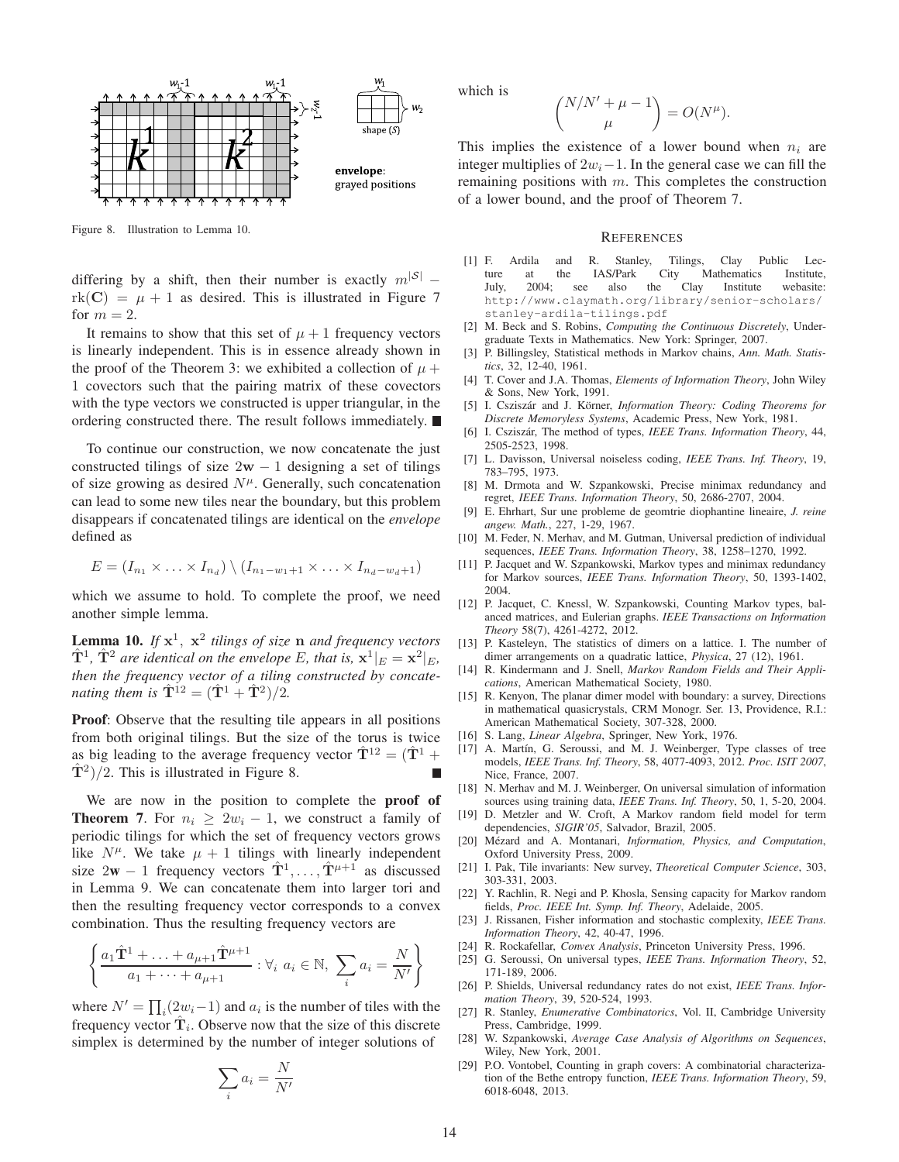

Figure 8. Illustration to Lemma 10.

differing by a shift, then their number is exactly  $m^{|S|}$  –  $rk(C) = \mu + 1$  as desired. This is illustrated in Figure 7 for  $m = 2$ .

It remains to show that this set of  $\mu + 1$  frequency vectors is linearly independent. This is in essence already shown in the proof of the Theorem 3: we exhibited a collection of  $\mu$  + 1 covectors such that the pairing matrix of these covectors with the type vectors we constructed is upper triangular, in the ordering constructed there. The result follows immediately.

To continue our construction, we now concatenate the just constructed tilings of size  $2w - 1$  designing a set of tilings of size growing as desired  $N^{\mu}$ . Generally, such concatenation can lead to some new tiles near the boundary, but this problem disappears if concatenated tilings are identical on the *envelope* defined as

$$
E = (I_{n_1} \times \ldots \times I_{n_d}) \setminus (I_{n_1-w_1+1} \times \ldots \times I_{n_d-w_d+1})
$$

which we assume to hold. To complete the proof, we need another simple lemma.

Lemma 10. If  $x^1$ ,  $x^2$  tilings of size n and frequency vectors  $\hat{\mathbf{T}}^1$ ,  $\hat{\mathbf{T}}^2$  are identical on the envelope E, that is,  $\mathbf{x}^1|_E = \mathbf{x}^2|_E$ , *then the frequency vector of a tiling constructed by concatenating them is*  $\hat{\mathbf{T}}^{12} = (\hat{\mathbf{T}}^1 + \hat{\mathbf{T}}^2)/2$ .

Proof: Observe that the resulting tile appears in all positions from both original tilings. But the size of the torus is twice as big leading to the average frequency vector  $\hat{T}^{12} = (\hat{T}^1 +$  $\hat{T}^2$ )/2. This is illustrated in Figure 8.

We are now in the position to complete the **proof** of **Theorem 7.** For  $n_i \geq 2w_i - 1$ , we construct a family of periodic tilings for which the set of frequency vectors grows like  $N^{\mu}$ . We take  $\mu + 1$  tilings with linearly independent size 2w – 1 frequency vectors  $\hat{\mathbf{T}}^1, \dots, \hat{\mathbf{T}}^{\mu+1}$  as discussed in Lemma 9. We can concatenate them into larger tori and then the resulting frequency vector corresponds to a convex combination. Thus the resulting frequency vectors are

$$
\left\{\frac{a_1\hat{\mathbf{T}}^1 + \ldots + a_{\mu+1}\hat{\mathbf{T}}^{\mu+1}}{a_1 + \cdots + a_{\mu+1}} : \forall_i \ a_i \in \mathbb{N}, \ \sum_i a_i = \frac{N}{N'}\right\}
$$

where  $N' = \prod_i (2w_i - 1)$  and  $a_i$  is the number of tiles with the frequency vector  $\hat{\mathbf{T}}_i$ . Observe now that the size of this discrete simplex is determined by the number of integer solutions of

$$
\sum_i a_i = \frac{N}{N'}
$$

which is

$$
\binom{N/N'+\mu-1}{\mu} = O(N^{\mu}).
$$

This implies the existence of a lower bound when  $n_i$  are integer multiplies of  $2w_i-1$ . In the general case we can fill the remaining positions with  $m$ . This completes the construction of a lower bound, and the proof of Theorem 7.

#### **REFERENCES**

- [1] F. Ardila and R. Stanley, Tilings, Clay Public Lecture at the IAS/Park City Mathematics Institute,<br>July, 2004; see also the Clay Institute webasite: webasite: http://www.claymath.org/library/senior-scholars/ stanley-ardila-tilings.pdf
- [2] M. Beck and S. Robins, *Computing the Continuous Discretely*, Undergraduate Texts in Mathematics. New York: Springer, 2007.
- [3] P. Billingsley, Statistical methods in Markov chains, *Ann. Math. Statistics*, 32, 12-40, 1961.
- [4] T. Cover and J.A. Thomas, *Elements of Information Theory*, John Wiley & Sons, New York, 1991.
- [5] I. Csziszár and J. Körner, *Information Theory: Coding Theorems for Discrete Memoryless Systems*, Academic Press, New York, 1981.
- [6] I. Csziszár, The method of types, *IEEE Trans. Information Theory*, 44, 2505-2523, 1998.
- [7] L. Davisson, Universal noiseless coding, *IEEE Trans. Inf. Theory*, 19, 783–795, 1973.
- [8] M. Drmota and W. Szpankowski, Precise minimax redundancy and regret, *IEEE Trans. Information Theory*, 50, 2686-2707, 2004.
- [9] E. Ehrhart, Sur une probleme de geomtrie diophantine lineaire, *J. reine angew. Math.*, 227, 1-29, 1967.
- [10] M. Feder, N. Merhav, and M. Gutman, Universal prediction of individual sequences, *IEEE Trans. Information Theory*, 38, 1258–1270, 1992.
- [11] P. Jacquet and W. Szpankowski, Markov types and minimax redundancy for Markov sources, *IEEE Trans. Information Theory*, 50, 1393-1402, 2004.
- [12] P. Jacquet, C. Knessl, W. Szpankowski, Counting Markov types, balanced matrices, and Eulerian graphs. *IEEE Transactions on Information Theory* 58(7), 4261-4272, 2012.
- [13] P. Kasteleyn, The statistics of dimers on a lattice. I. The number of dimer arrangements on a quadratic lattice, *Physica*, 27 (12), 1961.
- [14] R. Kindermann and J. Snell, *Markov Random Fields and Their Applications*, American Mathematical Society, 1980.
- [15] R. Kenyon, The planar dimer model with boundary: a survey, Directions in mathematical quasicrystals, CRM Monogr. Ser. 13, Providence, R.I.: American Mathematical Society, 307-328, 2000.
- [16] S. Lang, *Linear Algebra*, Springer, New York, 1976.
- [17] A. Martín, G. Seroussi, and M. J. Weinberger, Type classes of tree models, *IEEE Trans. Inf. Theory*, 58, 4077-4093, 2012. *Proc. ISIT 2007*, Nice, France, 2007.
- [18] N. Merhav and M. J. Weinberger, On universal simulation of information sources using training data, *IEEE Trans. Inf. Theory*, 50, 1, 5-20, 2004.
- [19] D. Metzler and W. Croft, A Markov random field model for term dependencies, *SIGIR'05*, Salvador, Brazil, 2005.
- [20] M´ezard and A. Montanari, *Information, Physics, and Computation*, Oxford University Press, 2009.
- [21] I. Pak, Tile invariants: New survey, *Theoretical Computer Science*, 303, 303-331, 2003.
- [22] Y. Rachlin, R. Negi and P. Khosla, Sensing capacity for Markov random fields, *Proc. IEEE Int. Symp. Inf. Theory*, Adelaide, 2005.
- [23] J. Rissanen, Fisher information and stochastic complexity, *IEEE Trans. Information Theory*, 42, 40-47, 1996.
- [24] R. Rockafellar, *Convex Analysis*, Princeton University Press, 1996.
- [25] G. Seroussi, On universal types, *IEEE Trans. Information Theory*, 52, 171-189, 2006.
- [26] P. Shields, Universal redundancy rates do not exist, *IEEE Trans. Information Theory*, 39, 520-524, 1993.
- [27] R. Stanley, *Enumerative Combinatorics*, Vol. II, Cambridge University Press, Cambridge, 1999.
- [28] W. Szpankowski, *Average Case Analysis of Algorithms on Sequences*, Wiley, New York, 2001.
- [29] P.O. Vontobel, Counting in graph covers: A combinatorial characterization of the Bethe entropy function, *IEEE Trans. Information Theory*, 59, 6018-6048, 2013.